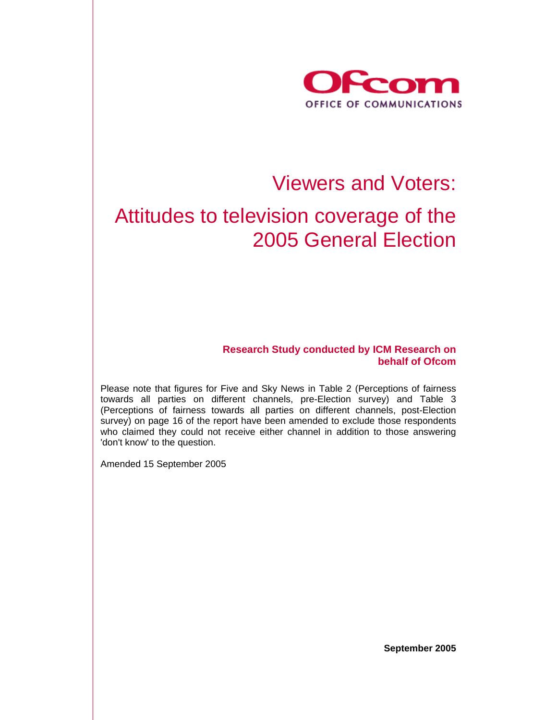

# Viewers and Voters:

# Attitudes to television coverage of the 2005 General Election

**Research Study conducted by ICM Research on behalf of Ofcom** 

Please note that figures for Five and Sky News in Table 2 (Perceptions of fairness towards all parties on different channels, pre-Election survey) and Table 3 (Perceptions of fairness towards all parties on different channels, post-Election survey) on page 16 of the report have been amended to exclude those respondents who claimed they could not receive either channel in addition to those answering 'don't know' to the question.

Amended 15 September 2005

**September 2005**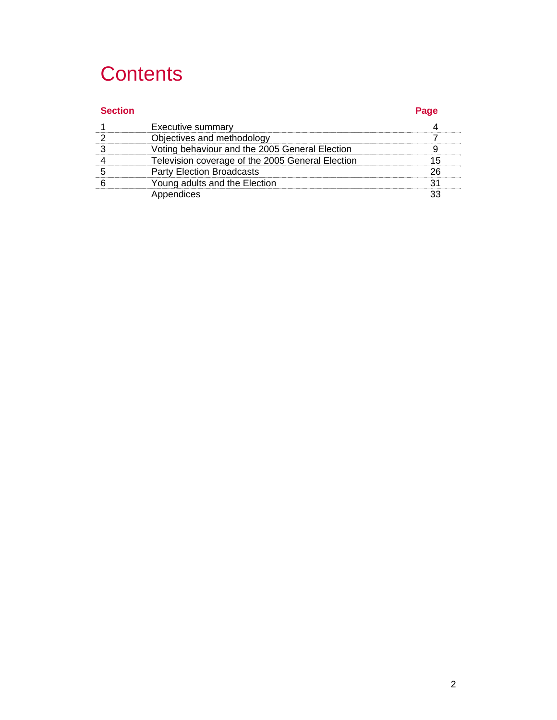# **Contents**

| <b>Section</b> |                                                  | Page |
|----------------|--------------------------------------------------|------|
|                | <b>Executive summary</b>                         |      |
|                | Objectives and methodology                       |      |
|                | Voting behaviour and the 2005 General Election   |      |
|                | Television coverage of the 2005 General Election |      |
|                | <b>Party Election Broadcasts</b>                 |      |
|                | Young adults and the Election                    |      |
|                | Appendices                                       |      |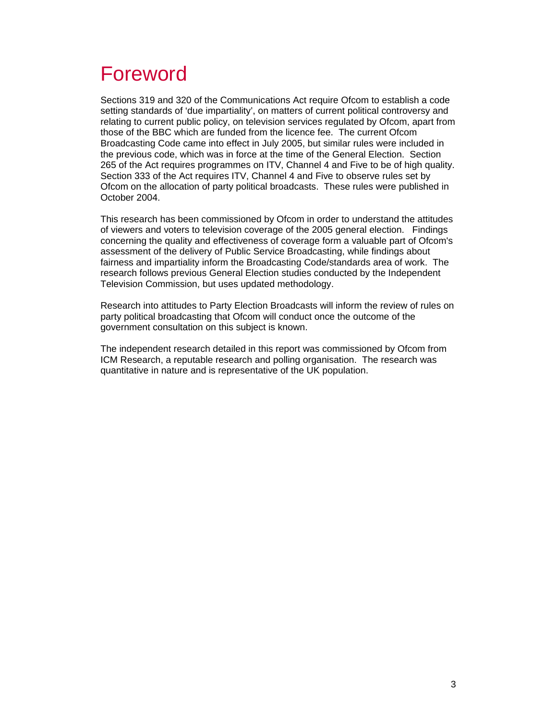# Foreword

Sections 319 and 320 of the Communications Act require Ofcom to establish a code setting standards of 'due impartiality', on matters of current political controversy and relating to current public policy, on television services regulated by Ofcom, apart from those of the BBC which are funded from the licence fee. The current Ofcom Broadcasting Code came into effect in July 2005, but similar rules were included in the previous code, which was in force at the time of the General Election. Section 265 of the Act requires programmes on ITV, Channel 4 and Five to be of high quality. Section 333 of the Act requires ITV, Channel 4 and Five to observe rules set by Ofcom on the allocation of party political broadcasts. These rules were published in October 2004.

This research has been commissioned by Ofcom in order to understand the attitudes of viewers and voters to television coverage of the 2005 general election. Findings concerning the quality and effectiveness of coverage form a valuable part of Ofcom's assessment of the delivery of Public Service Broadcasting, while findings about fairness and impartiality inform the Broadcasting Code/standards area of work. The research follows previous General Election studies conducted by the Independent Television Commission, but uses updated methodology.

Research into attitudes to Party Election Broadcasts will inform the review of rules on party political broadcasting that Ofcom will conduct once the outcome of the government consultation on this subject is known.

The independent research detailed in this report was commissioned by Ofcom from ICM Research, a reputable research and polling organisation. The research was quantitative in nature and is representative of the UK population.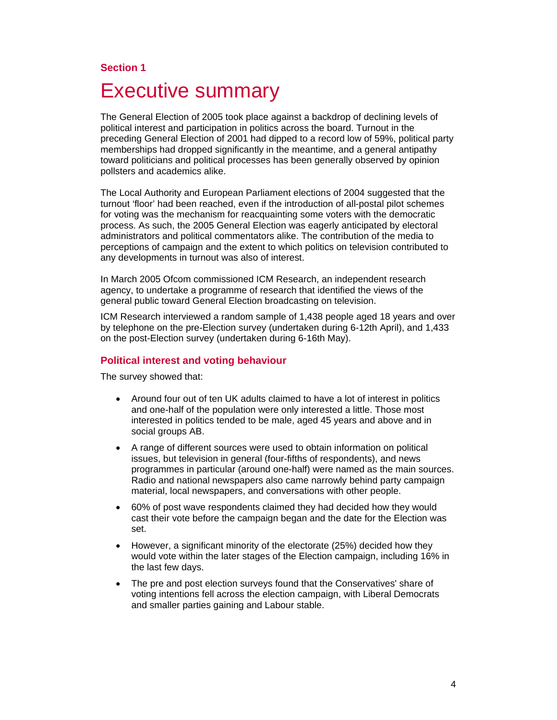## **Section 1**

# Executive summary

The General Election of 2005 took place against a backdrop of declining levels of political interest and participation in politics across the board. Turnout in the preceding General Election of 2001 had dipped to a record low of 59%, political party memberships had dropped significantly in the meantime, and a general antipathy toward politicians and political processes has been generally observed by opinion pollsters and academics alike.

The Local Authority and European Parliament elections of 2004 suggested that the turnout 'floor' had been reached, even if the introduction of all-postal pilot schemes for voting was the mechanism for reacquainting some voters with the democratic process. As such, the 2005 General Election was eagerly anticipated by electoral administrators and political commentators alike. The contribution of the media to perceptions of campaign and the extent to which politics on television contributed to any developments in turnout was also of interest.

In March 2005 Ofcom commissioned ICM Research, an independent research agency, to undertake a programme of research that identified the views of the general public toward General Election broadcasting on television.

ICM Research interviewed a random sample of 1,438 people aged 18 years and over by telephone on the pre-Election survey (undertaken during 6-12th April), and 1,433 on the post-Election survey (undertaken during 6-16th May).

#### **Political interest and voting behaviour**

The survey showed that:

- Around four out of ten UK adults claimed to have a lot of interest in politics and one-half of the population were only interested a little. Those most interested in politics tended to be male, aged 45 years and above and in social groups AB.
- A range of different sources were used to obtain information on political issues, but television in general (four-fifths of respondents), and news programmes in particular (around one-half) were named as the main sources. Radio and national newspapers also came narrowly behind party campaign material, local newspapers, and conversations with other people.
- 60% of post wave respondents claimed they had decided how they would cast their vote before the campaign began and the date for the Election was set.
- However, a significant minority of the electorate (25%) decided how they would vote within the later stages of the Election campaign, including 16% in the last few days.
- The pre and post election surveys found that the Conservatives' share of voting intentions fell across the election campaign, with Liberal Democrats and smaller parties gaining and Labour stable.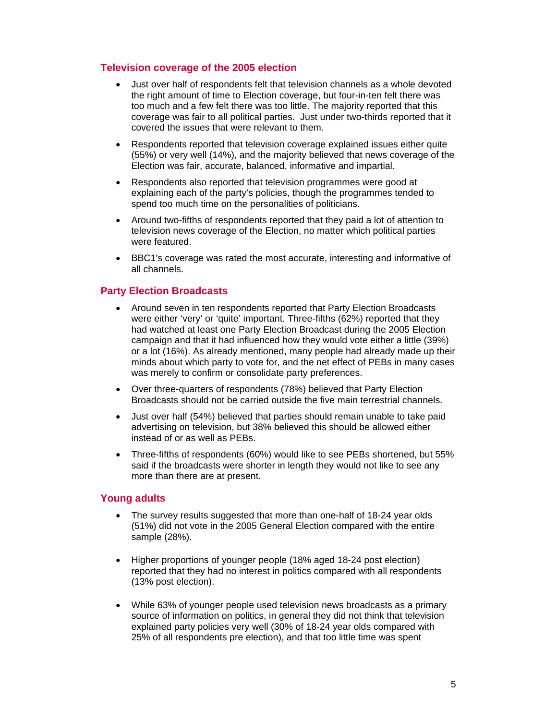### **Television coverage of the 2005 election**

- Just over half of respondents felt that television channels as a whole devoted the right amount of time to Election coverage, but four-in-ten felt there was too much and a few felt there was too little. The majority reported that this coverage was fair to all political parties. Just under two-thirds reported that it covered the issues that were relevant to them.
- Respondents reported that television coverage explained issues either quite (55%) or very well (14%), and the majority believed that news coverage of the Election was fair, accurate, balanced, informative and impartial.
- Respondents also reported that television programmes were good at explaining each of the party's policies, though the programmes tended to spend too much time on the personalities of politicians.
- Around two-fifths of respondents reported that they paid a lot of attention to television news coverage of the Election, no matter which political parties were featured.
- BBC1's coverage was rated the most accurate, interesting and informative of all channels.

# **Party Election Broadcasts**

- Around seven in ten respondents reported that Party Election Broadcasts were either 'very' or 'quite' important. Three-fifths (62%) reported that they had watched at least one Party Election Broadcast during the 2005 Election campaign and that it had influenced how they would vote either a little (39%) or a lot (16%). As already mentioned, many people had already made up their minds about which party to vote for, and the net effect of PEBs in many cases was merely to confirm or consolidate party preferences.
- Over three-quarters of respondents (78%) believed that Party Election Broadcasts should not be carried outside the five main terrestrial channels.
- Just over half (54%) believed that parties should remain unable to take paid advertising on television, but 38% believed this should be allowed either instead of or as well as PEBs.
- Three-fifths of respondents (60%) would like to see PEBs shortened, but 55% said if the broadcasts were shorter in length they would not like to see any more than there are at present.

### **Young adults**

- The survey results suggested that more than one-half of 18-24 year olds (51%) did not vote in the 2005 General Election compared with the entire sample (28%).
- Higher proportions of younger people (18% aged 18-24 post election) reported that they had no interest in politics compared with all respondents (13% post election).
- While 63% of younger people used television news broadcasts as a primary source of information on politics, in general they did not think that television explained party policies very well (30% of 18-24 year olds compared with 25% of all respondents pre election), and that too little time was spent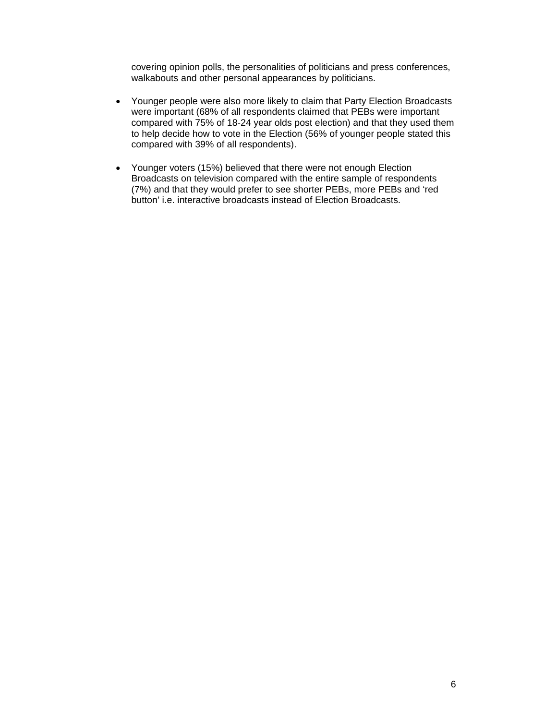covering opinion polls, the personalities of politicians and press conferences, walkabouts and other personal appearances by politicians.

- Younger people were also more likely to claim that Party Election Broadcasts were important (68% of all respondents claimed that PEBs were important compared with 75% of 18-24 year olds post election) and that they used them to help decide how to vote in the Election (56% of younger people stated this compared with 39% of all respondents).
- Younger voters (15%) believed that there were not enough Election Broadcasts on television compared with the entire sample of respondents (7%) and that they would prefer to see shorter PEBs, more PEBs and 'red button' i.e. interactive broadcasts instead of Election Broadcasts.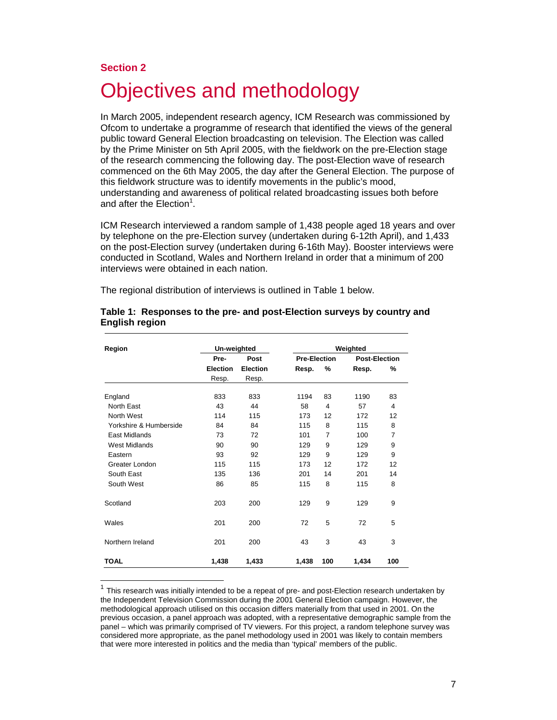#### **Section 2**

 $\overline{a}$ 

# Objectives and methodology

In March 2005, independent research agency, ICM Research was commissioned by Ofcom to undertake a programme of research that identified the views of the general public toward General Election broadcasting on television. The Election was called by the Prime Minister on 5th April 2005, with the fieldwork on the pre-Election stage of the research commencing the following day. The post-Election wave of research commenced on the 6th May 2005, the day after the General Election. The purpose of this fieldwork structure was to identify movements in the public's mood, understanding and awareness of political related broadcasting issues both before and after the Election<sup>1</sup>.

ICM Research interviewed a random sample of 1,438 people aged 18 years and over by telephone on the pre-Election survey (undertaken during 6-12th April), and 1,433 on the post-Election survey (undertaken during 6-16th May). Booster interviews were conducted in Scotland, Wales and Northern Ireland in order that a minimum of 200 interviews were obtained in each nation.

The regional distribution of interviews is outlined in Table 1 below.

| Region                 | Un-weighted     |                 |                     |                | Weighted             |     |
|------------------------|-----------------|-----------------|---------------------|----------------|----------------------|-----|
|                        | Pre-            | Post            | <b>Pre-Election</b> |                | <b>Post-Election</b> |     |
|                        | <b>Election</b> | <b>Election</b> | Resp.               | %              | Resp.                | %   |
|                        | Resp.           | Resp.           |                     |                |                      |     |
| England                | 833             | 833             | 1194                | 83             | 1190                 | 83  |
| North East             | 43              | 44              | 58                  | 4              | 57                   | 4   |
| North West             | 114             | 115             | 173                 | 12             | 172                  | 12  |
| Yorkshire & Humberside | 84              | 84              | 115                 | 8              | 115                  | 8   |
| <b>East Midlands</b>   | 73              | 72              | 101                 | $\overline{7}$ | 100                  | 7   |
| <b>West Midlands</b>   | 90              | 90              | 129                 | 9              | 129                  | 9   |
| Eastern                | 93              | 92              | 129                 | 9              | 129                  | 9   |
| Greater London         | 115             | 115             | 173                 | 12             | 172                  | 12  |
| South East             | 135             | 136             | 201                 | 14             | 201                  | 14  |
| South West             | 86              | 85              | 115                 | 8              | 115                  | 8   |
| Scotland               | 203             | 200             | 129                 | 9              | 129                  | 9   |
| Wales                  | 201             | 200             | 72                  | 5              | 72                   | 5   |
| Northern Ireland       | 201             | 200             | 43                  | 3              | 43                   | 3   |
| <b>TOAL</b>            | 1,438           | 1,433           | 1,438               | 100            | 1,434                | 100 |

|                | Table 1: Responses to the pre- and post-Election surveys by country and |  |
|----------------|-------------------------------------------------------------------------|--|
| English region |                                                                         |  |

 $1$  This research was initially intended to be a repeat of pre- and post-Election research undertaken by the Independent Television Commission during the 2001 General Election campaign. However, the methodological approach utilised on this occasion differs materially from that used in 2001. On the previous occasion, a panel approach was adopted, with a representative demographic sample from the panel – which was primarily comprised of TV viewers. For this project, a random telephone survey was considered more appropriate, as the panel methodology used in 2001 was likely to contain members that were more interested in politics and the media than 'typical' members of the public.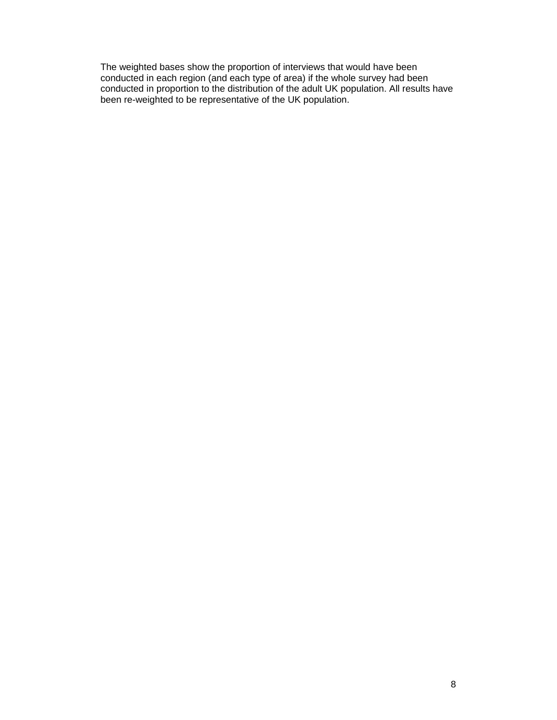The weighted bases show the proportion of interviews that would have been conducted in each region (and each type of area) if the whole survey had been conducted in proportion to the distribution of the adult UK population. All results have been re-weighted to be representative of the UK population.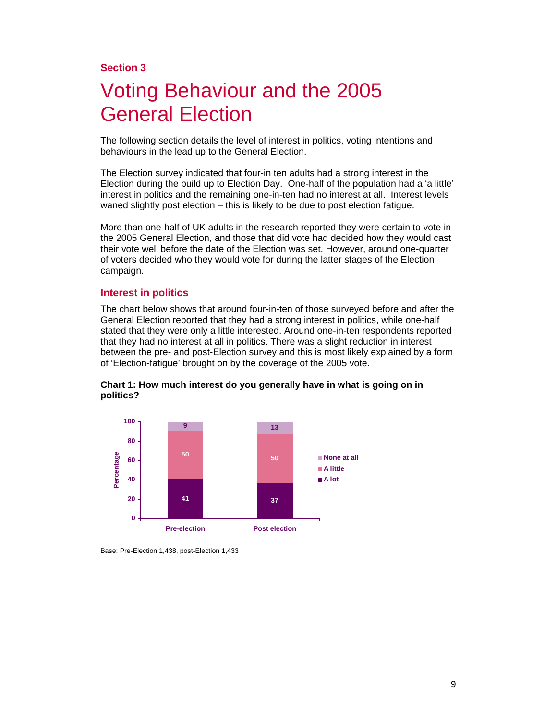## **Section 3**

# Voting Behaviour and the 2005 General Election

The following section details the level of interest in politics, voting intentions and behaviours in the lead up to the General Election.

The Election survey indicated that four-in ten adults had a strong interest in the Election during the build up to Election Day. One-half of the population had a 'a little' interest in politics and the remaining one-in-ten had no interest at all. Interest levels waned slightly post election – this is likely to be due to post election fatigue.

More than one-half of UK adults in the research reported they were certain to vote in the 2005 General Election, and those that did vote had decided how they would cast their vote well before the date of the Election was set. However, around one-quarter of voters decided who they would vote for during the latter stages of the Election campaign.

#### **Interest in politics**

The chart below shows that around four-in-ten of those surveyed before and after the General Election reported that they had a strong interest in politics, while one-half stated that they were only a little interested. Around one-in-ten respondents reported that they had no interest at all in politics. There was a slight reduction in interest between the pre- and post-Election survey and this is most likely explained by a form of 'Election-fatigue' brought on by the coverage of the 2005 vote.



**Chart 1: How much interest do you generally have in what is going on in politics?** 

Base: Pre-Election 1,438, post-Election 1,433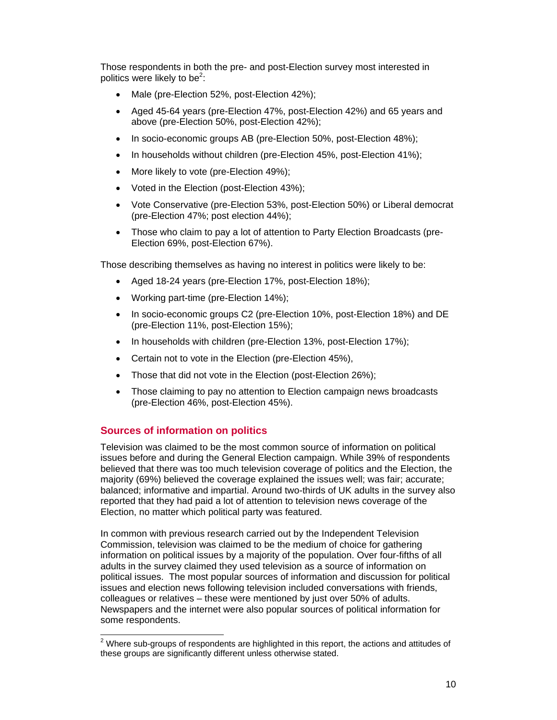Those respondents in both the pre- and post-Election survey most interested in politics were likely to be<sup>2</sup>:

- Male (pre-Election 52%, post-Election 42%);
- Aged 45-64 years (pre-Election 47%, post-Election 42%) and 65 years and above (pre-Election 50%, post-Election 42%);
- In socio-economic groups AB (pre-Election 50%, post-Election 48%);
- In households without children (pre-Election 45%, post-Election 41%);
- More likely to vote (pre-Election 49%);
- Voted in the Election (post-Election 43%);
- Vote Conservative (pre-Election 53%, post-Election 50%) or Liberal democrat (pre-Election 47%; post election 44%);
- Those who claim to pay a lot of attention to Party Election Broadcasts (pre-Election 69%, post-Election 67%).

Those describing themselves as having no interest in politics were likely to be:

- Aged 18-24 years (pre-Election 17%, post-Election 18%);
- Working part-time (pre-Election 14%);
- In socio-economic groups C2 (pre-Election 10%, post-Election 18%) and DE (pre-Election 11%, post-Election 15%);
- In households with children (pre-Election 13%, post-Election 17%);
- Certain not to vote in the Election (pre-Election 45%),
- Those that did not vote in the Election (post-Election 26%);
- Those claiming to pay no attention to Election campaign news broadcasts (pre-Election 46%, post-Election 45%).

# **Sources of information on politics**

Television was claimed to be the most common source of information on political issues before and during the General Election campaign. While 39% of respondents believed that there was too much television coverage of politics and the Election, the majority (69%) believed the coverage explained the issues well; was fair; accurate; balanced; informative and impartial. Around two-thirds of UK adults in the survey also reported that they had paid a lot of attention to television news coverage of the Election, no matter which political party was featured.

In common with previous research carried out by the Independent Television Commission, television was claimed to be the medium of choice for gathering information on political issues by a majority of the population. Over four-fifths of all adults in the survey claimed they used television as a source of information on political issues. The most popular sources of information and discussion for political issues and election news following television included conversations with friends, colleagues or relatives – these were mentioned by just over 50% of adults. Newspapers and the internet were also popular sources of political information for some respondents.

 $2$  Where sub-groups of respondents are highlighted in this report, the actions and attitudes of these groups are significantly different unless otherwise stated.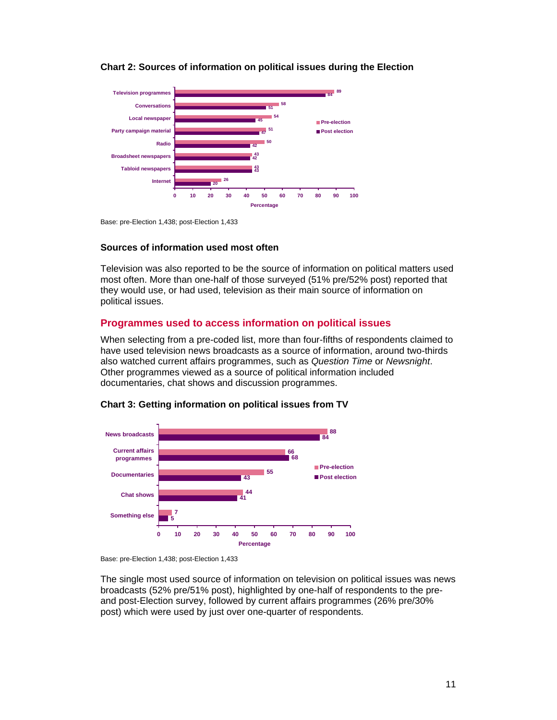

#### **Chart 2: Sources of information on political issues during the Election**

Base: pre-Election 1,438; post-Election 1,433

#### **Sources of information used most often**

Television was also reported to be the source of information on political matters used most often. More than one-half of those surveyed (51% pre/52% post) reported that they would use, or had used, television as their main source of information on political issues.

#### **Programmes used to access information on political issues**

When selecting from a pre-coded list, more than four-fifths of respondents claimed to have used television news broadcasts as a source of information, around two-thirds also watched current affairs programmes, such as *Question Time* or *Newsnight*. Other programmes viewed as a source of political information included documentaries, chat shows and discussion programmes.





Base: pre-Election 1,438; post-Election 1,433

The single most used source of information on television on political issues was news broadcasts (52% pre/51% post), highlighted by one-half of respondents to the preand post-Election survey, followed by current affairs programmes (26% pre/30% post) which were used by just over one-quarter of respondents.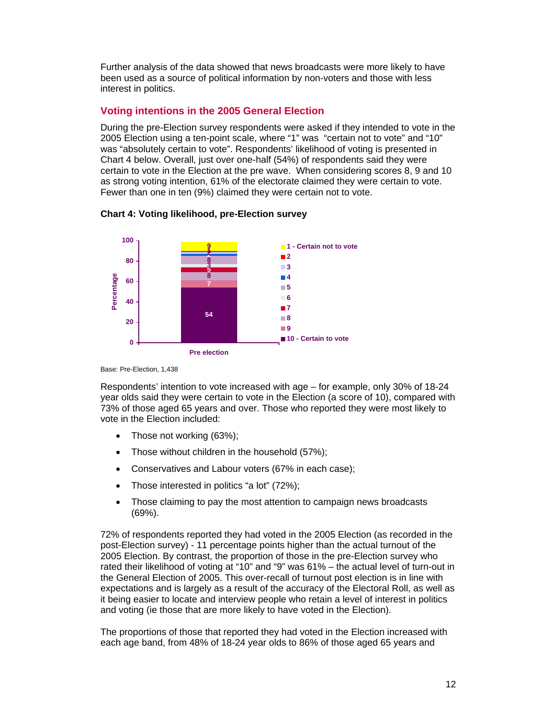Further analysis of the data showed that news broadcasts were more likely to have been used as a source of political information by non-voters and those with less interest in politics.

# **Voting intentions in the 2005 General Election**

During the pre-Election survey respondents were asked if they intended to vote in the 2005 Election using a ten-point scale, where "1" was "certain not to vote" and "10" was "absolutely certain to vote". Respondents' likelihood of voting is presented in Chart 4 below. Overall, just over one-half (54%) of respondents said they were certain to vote in the Election at the pre wave. When considering scores 8, 9 and 10 as strong voting intention, 61% of the electorate claimed they were certain to vote. Fewer than one in ten (9%) claimed they were certain not to vote.



### **Chart 4: Voting likelihood, pre-Election survey**

Base: Pre-Election, 1,438

Respondents' intention to vote increased with age – for example, only 30% of 18-24 year olds said they were certain to vote in the Election (a score of 10), compared with 73% of those aged 65 years and over. Those who reported they were most likely to vote in the Election included:

- Those not working (63%);
- Those without children in the household (57%);
- Conservatives and Labour voters (67% in each case);
- Those interested in politics "a lot" (72%);
- Those claiming to pay the most attention to campaign news broadcasts (69%).

72% of respondents reported they had voted in the 2005 Election (as recorded in the post-Election survey) - 11 percentage points higher than the actual turnout of the 2005 Election. By contrast, the proportion of those in the pre-Election survey who rated their likelihood of voting at "10" and "9" was 61% – the actual level of turn-out in the General Election of 2005. This over-recall of turnout post election is in line with expectations and is largely as a result of the accuracy of the Electoral Roll, as well as it being easier to locate and interview people who retain a level of interest in politics and voting (ie those that are more likely to have voted in the Election).

The proportions of those that reported they had voted in the Election increased with each age band, from 48% of 18-24 year olds to 86% of those aged 65 years and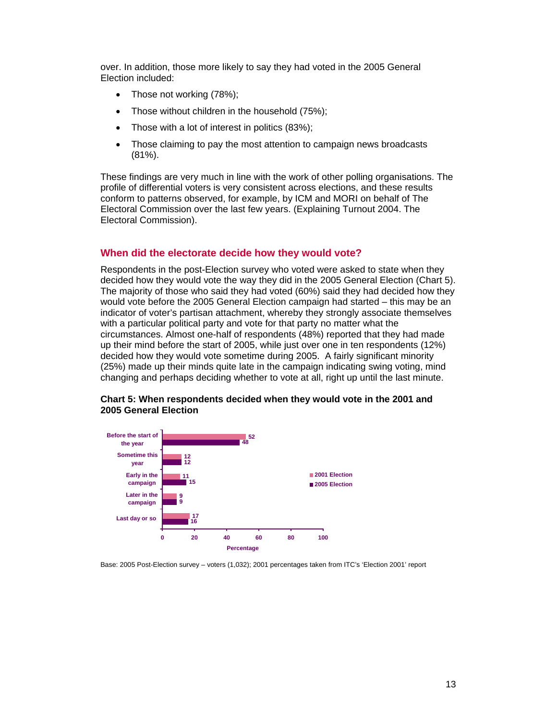over. In addition, those more likely to say they had voted in the 2005 General Election included:

- Those not working (78%);
- Those without children in the household (75%);
- Those with a lot of interest in politics (83%);
- Those claiming to pay the most attention to campaign news broadcasts (81%).

These findings are very much in line with the work of other polling organisations. The profile of differential voters is very consistent across elections, and these results conform to patterns observed, for example, by ICM and MORI on behalf of The Electoral Commission over the last few years. (Explaining Turnout 2004. The Electoral Commission).

### **When did the electorate decide how they would vote?**

Respondents in the post-Election survey who voted were asked to state when they decided how they would vote the way they did in the 2005 General Election (Chart 5). The majority of those who said they had voted (60%) said they had decided how they would vote before the 2005 General Election campaign had started – this may be an indicator of voter's partisan attachment, whereby they strongly associate themselves with a particular political party and vote for that party no matter what the circumstances. Almost one-half of respondents (48%) reported that they had made up their mind before the start of 2005, while just over one in ten respondents (12%) decided how they would vote sometime during 2005. A fairly significant minority (25%) made up their minds quite late in the campaign indicating swing voting, mind changing and perhaps deciding whether to vote at all, right up until the last minute.



#### **Chart 5: When respondents decided when they would vote in the 2001 and 2005 General Election**

#### Base: 2005 Post-Election survey – voters (1,032); 2001 percentages taken from ITC's 'Election 2001' report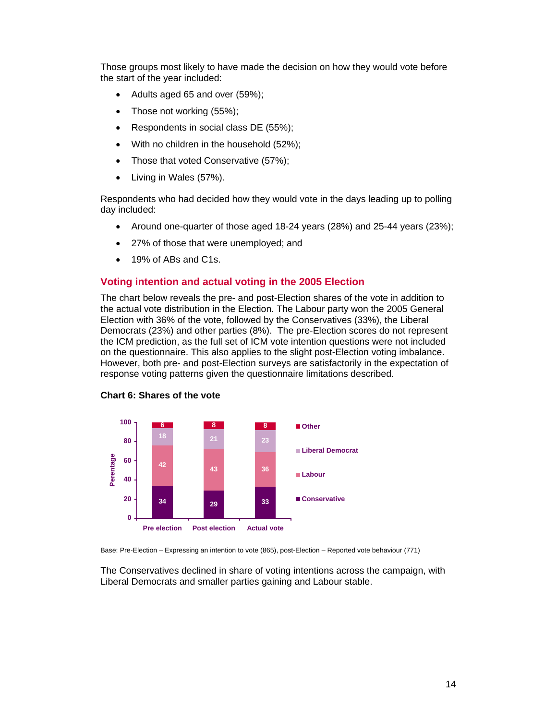Those groups most likely to have made the decision on how they would vote before the start of the year included:

- Adults aged 65 and over (59%);
- Those not working (55%);
- Respondents in social class DE (55%);
- With no children in the household (52%);
- Those that voted Conservative (57%);
- Living in Wales (57%).

Respondents who had decided how they would vote in the days leading up to polling day included:

- Around one-quarter of those aged 18-24 years (28%) and 25-44 years (23%);
- 27% of those that were unemployed; and
- 19% of ABs and C1s.

#### **Voting intention and actual voting in the 2005 Election**

The chart below reveals the pre- and post-Election shares of the vote in addition to the actual vote distribution in the Election. The Labour party won the 2005 General Election with 36% of the vote, followed by the Conservatives (33%), the Liberal Democrats (23%) and other parties (8%). The pre-Election scores do not represent the ICM prediction, as the full set of ICM vote intention questions were not included on the questionnaire. This also applies to the slight post-Election voting imbalance. However, both pre- and post-Election surveys are satisfactorily in the expectation of response voting patterns given the questionnaire limitations described.





Base: Pre-Election – Expressing an intention to vote (865), post-Election – Reported vote behaviour (771)

The Conservatives declined in share of voting intentions across the campaign, with Liberal Democrats and smaller parties gaining and Labour stable.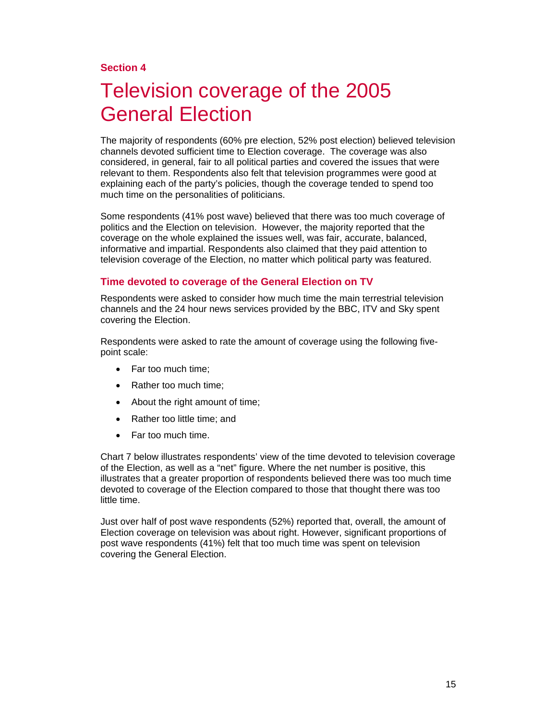# **Section 4**

# Television coverage of the 2005 General Election

The majority of respondents (60% pre election, 52% post election) believed television channels devoted sufficient time to Election coverage. The coverage was also considered, in general, fair to all political parties and covered the issues that were relevant to them. Respondents also felt that television programmes were good at explaining each of the party's policies, though the coverage tended to spend too much time on the personalities of politicians.

Some respondents (41% post wave) believed that there was too much coverage of politics and the Election on television. However, the majority reported that the coverage on the whole explained the issues well, was fair, accurate, balanced, informative and impartial. Respondents also claimed that they paid attention to television coverage of the Election, no matter which political party was featured.

### **Time devoted to coverage of the General Election on TV**

Respondents were asked to consider how much time the main terrestrial television channels and the 24 hour news services provided by the BBC, ITV and Sky spent covering the Election.

Respondents were asked to rate the amount of coverage using the following fivepoint scale:

- Far too much time;
- Rather too much time;
- About the right amount of time;
- Rather too little time; and
- Far too much time.

Chart 7 below illustrates respondents' view of the time devoted to television coverage of the Election, as well as a "net" figure. Where the net number is positive, this illustrates that a greater proportion of respondents believed there was too much time devoted to coverage of the Election compared to those that thought there was too little time.

Just over half of post wave respondents (52%) reported that, overall, the amount of Election coverage on television was about right. However, significant proportions of post wave respondents (41%) felt that too much time was spent on television covering the General Election.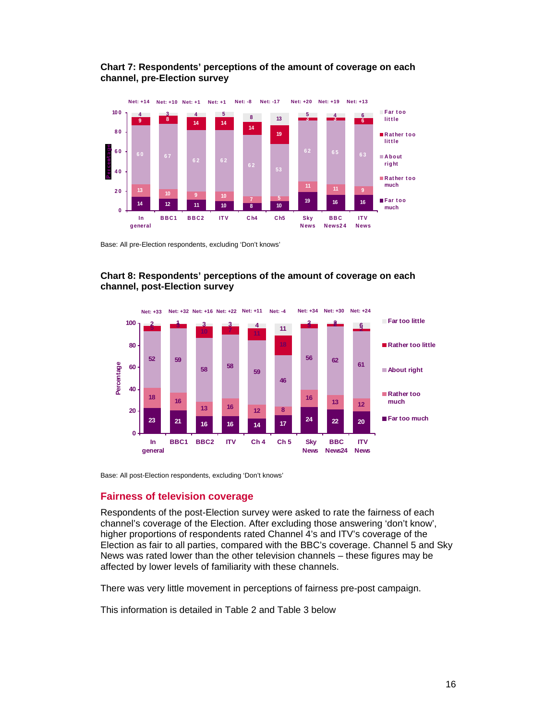



Base: All pre-Election respondents, excluding 'Don't knows'





Base: All post-Election respondents, excluding 'Don't knows'

#### **Fairness of television coverage**

Respondents of the post-Election survey were asked to rate the fairness of each channel's coverage of the Election. After excluding those answering 'don't know', higher proportions of respondents rated Channel 4's and ITV's coverage of the Election as fair to all parties, compared with the BBC's coverage. Channel 5 and Sky News was rated lower than the other television channels – these figures may be affected by lower levels of familiarity with these channels.

There was very little movement in perceptions of fairness pre-post campaign.

This information is detailed in Table 2 and Table 3 below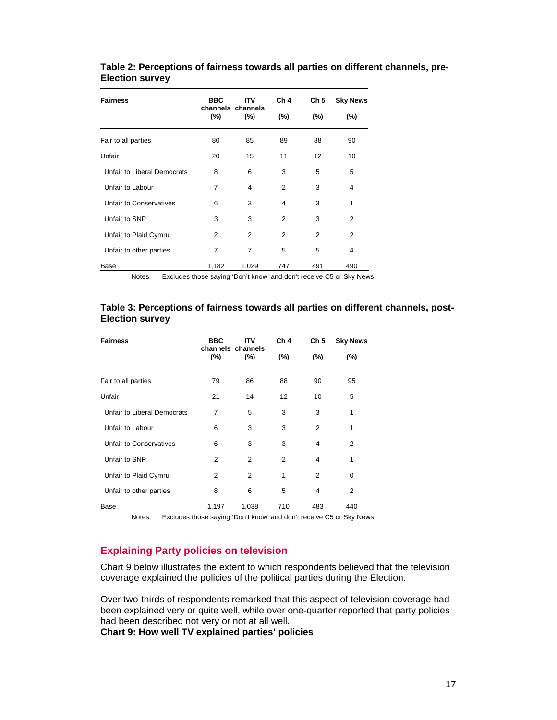### **Table 2: Perceptions of fairness towards all parties on different channels, pre-Election survey**

| <b>Fairness</b>             | <b>BBC</b>               | ITV   | Ch <sub>4</sub> | Ch <sub>5</sub> | <b>Sky News</b>                                                     |
|-----------------------------|--------------------------|-------|-----------------|-----------------|---------------------------------------------------------------------|
|                             | channels channels<br>(%) | (%)   | (%)             | (%)             | $(\% )$                                                             |
| Fair to all parties         | 80                       | 85    | 89              | 88              | 90                                                                  |
| Unfair                      | 20                       | 15    | 11              | 12              | 10                                                                  |
| Unfair to Liberal Democrats | 8                        | 6     | 3               | 5               | 5                                                                   |
| Unfair to Labour            | $\overline{7}$           | 4     | $\overline{2}$  | 3               | 4                                                                   |
| Unfair to Conservatives     | 6                        | 3     | 4               | 3               | 1                                                                   |
| Unfair to SNP               | 3                        | 3     | 2               | 3               | $\overline{2}$                                                      |
| Unfair to Plaid Cymru       | 2                        | 2     | 2               | 2               | 2                                                                   |
| Unfair to other parties     | 7                        | 7     | 5               | 5               | 4                                                                   |
| Base                        | 1,182                    | 1,029 | 747             | 491             | 490                                                                 |
| Notes:                      |                          |       |                 |                 | Excludes those saying 'Don't know' and don't receive C5 or Sky News |

#### **Table 3: Perceptions of fairness towards all parties on different channels, post-Election survey**

| <b>Fairness</b>             | <b>BBC</b><br><b>ITV</b><br>channels channels |                | Ch <sub>4</sub> | Ch <sub>5</sub> | <b>Sky News</b>                                                           |
|-----------------------------|-----------------------------------------------|----------------|-----------------|-----------------|---------------------------------------------------------------------------|
|                             | $(\% )$                                       | (%)            | (%)             | (%)             | $(\% )$                                                                   |
| Fair to all parties         | 79                                            | 86             | 88              | 90              | 95                                                                        |
| Unfair                      | 21                                            | 14             | 12              | 10              | 5                                                                         |
| Unfair to Liberal Democrats | 7                                             | 5              | 3               | 3               | 1                                                                         |
| Unfair to Labour            | 6                                             | 3              | 3               | 2               | 1                                                                         |
| Unfair to Conservatives     | 6                                             | 3              | 3               | 4               | 2                                                                         |
| Unfair to SNP               | 2                                             | $\overline{2}$ | 2               | 4               | 1                                                                         |
| Unfair to Plaid Cymru       | 2                                             | $\overline{2}$ | 1               | $\overline{2}$  | $\mathbf 0$                                                               |
| Unfair to other parties     | 8                                             | 6              | 5               | 4               | $\overline{2}$                                                            |
| Base<br>Notes <sup>.</sup>  | 1,197                                         | 1,038          | 710             | 483             | 440<br>Excludes those saving 'Don't know' and don't receive C5 or Sky New |

Notes: Excludes those saying 'Don't know' and don't receive C5 or Sky News

# **Explaining Party policies on television**

Chart 9 below illustrates the extent to which respondents believed that the television coverage explained the policies of the political parties during the Election.

Over two-thirds of respondents remarked that this aspect of television coverage had been explained very or quite well, while over one-quarter reported that party policies had been described not very or not at all well.

**Chart 9: How well TV explained parties' policies**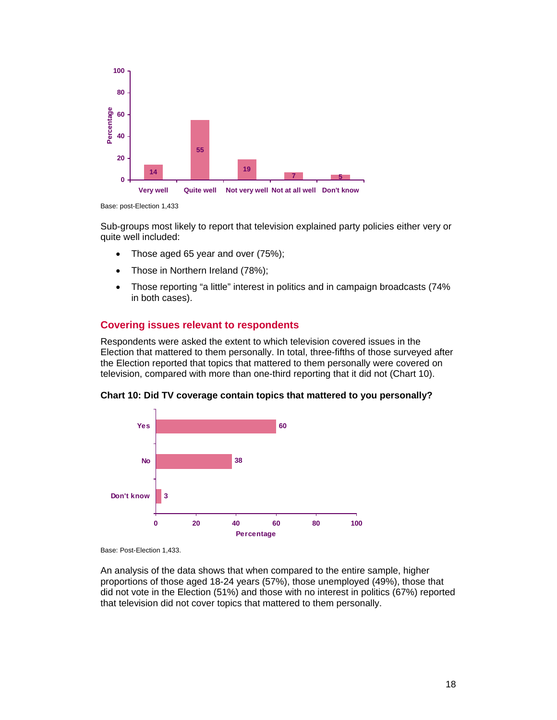

Base: post-Election 1,433

Sub-groups most likely to report that television explained party policies either very or quite well included:

- Those aged 65 year and over (75%);
- Those in Northern Ireland (78%);
- Those reporting "a little" interest in politics and in campaign broadcasts (74% in both cases).

# **Covering issues relevant to respondents**

Respondents were asked the extent to which television covered issues in the Election that mattered to them personally. In total, three-fifths of those surveyed after the Election reported that topics that mattered to them personally were covered on television, compared with more than one-third reporting that it did not (Chart 10).



**Chart 10: Did TV coverage contain topics that mattered to you personally?** 

Base: Post-Election 1,433.

An analysis of the data shows that when compared to the entire sample, higher proportions of those aged 18-24 years (57%), those unemployed (49%), those that did not vote in the Election (51%) and those with no interest in politics (67%) reported that television did not cover topics that mattered to them personally.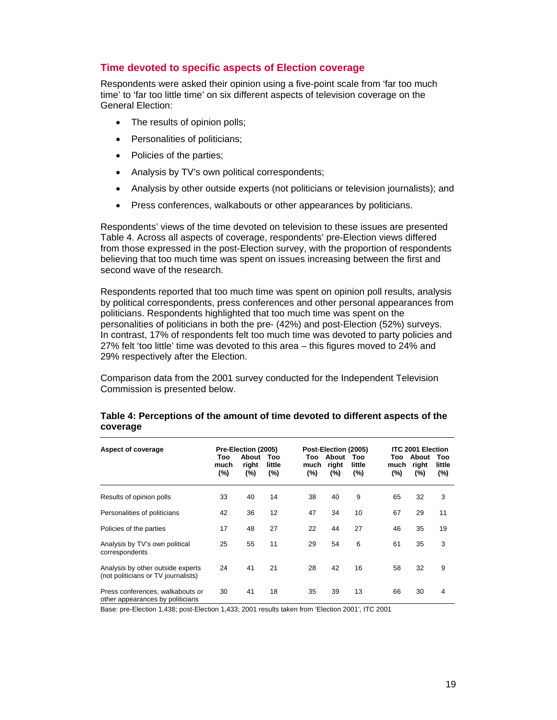## **Time devoted to specific aspects of Election coverage**

Respondents were asked their opinion using a five-point scale from 'far too much time' to 'far too little time' on six different aspects of television coverage on the General Election:

- The results of opinion polls;
- Personalities of politicians;
- Policies of the parties;
- Analysis by TV's own political correspondents;
- Analysis by other outside experts (not politicians or television journalists); and
- Press conferences, walkabouts or other appearances by politicians.

Respondents' views of the time devoted on television to these issues are presented Table 4. Across all aspects of coverage, respondents' pre-Election views differed from those expressed in the post-Election survey, with the proportion of respondents believing that too much time was spent on issues increasing between the first and second wave of the research.

Respondents reported that too much time was spent on opinion poll results, analysis by political correspondents, press conferences and other personal appearances from politicians. Respondents highlighted that too much time was spent on the personalities of politicians in both the pre- (42%) and post-Election (52%) surveys. In contrast, 17% of respondents felt too much time was devoted to party policies and 27% felt 'too little' time was devoted to this area – this figures moved to 24% and 29% respectively after the Election.

Comparison data from the 2001 survey conducted for the Independent Television Commission is presented below.

| Aspect of coverage                                                       | Too<br>much<br>(%) | Pre-Election (2005)<br>About<br>right<br>(%) | Too<br>little<br>(%) | Too<br>much<br>$(\%)$ | Post-Election (2005)<br>About<br>right<br>$(\%)$ | Too<br>little<br>$(\%)$ | Too<br>much<br>(%) | <b>ITC 2001 Election</b><br>About<br>right<br>(%) | Too<br>little<br>$(\%)$ |
|--------------------------------------------------------------------------|--------------------|----------------------------------------------|----------------------|-----------------------|--------------------------------------------------|-------------------------|--------------------|---------------------------------------------------|-------------------------|
| Results of opinion polls                                                 | 33                 | 40                                           | 14                   | 38                    | 40                                               | 9                       | 65                 | 32                                                | 3                       |
| Personalities of politicians                                             | 42                 | 36                                           | 12                   | 47                    | 34                                               | 10                      | 67                 | 29                                                | 11                      |
| Policies of the parties                                                  | 17                 | 48                                           | 27                   | 22                    | 44                                               | 27                      | 46                 | 35                                                | 19                      |
| Analysis by TV's own political<br>correspondents                         | 25                 | 55                                           | 11                   | 29                    | 54                                               | 6                       | 61                 | 35                                                | 3                       |
| Analysis by other outside experts<br>(not politicians or TV journalists) | 24                 | 41                                           | 21                   | 28                    | 42                                               | 16                      | 58                 | 32                                                | 9                       |
| Press conferences, walkabouts or<br>other appearances by politicians     | 30                 | 41                                           | 18                   | 35                    | 39                                               | 13                      | 66                 | 30                                                | $\overline{4}$          |

### **Table 4: Perceptions of the amount of time devoted to different aspects of the coverage**

Base: pre-Election 1,438; post-Election 1,433; 2001 results taken from 'Election 2001', ITC 2001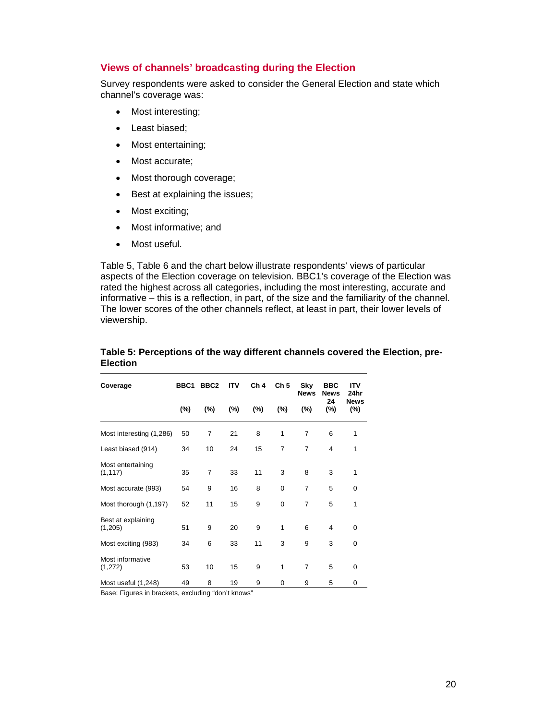### **Views of channels' broadcasting during the Election**

Survey respondents were asked to consider the General Election and state which channel's coverage was:

- Most interesting;
- Least biased;
- Most entertaining;
- Most accurate;
- Most thorough coverage;
- Best at explaining the issues;
- Most exciting;
- Most informative; and
- Most useful.

Table 5, Table 6 and the chart below illustrate respondents' views of particular aspects of the Election coverage on television. BBC1's coverage of the Election was rated the highest across all categories, including the most interesting, accurate and informative – this is a reflection, in part, of the size and the familiarity of the channel. The lower scores of the other channels reflect, at least in part, their lower levels of viewership.

| Coverage                      | BBC1   | BBC <sub>2</sub> | <b>ITV</b> | Ch <sub>4</sub> | Ch <sub>5</sub> | Sky<br><b>News</b> | <b>BBC</b><br><b>News</b> | <b>ITV</b><br>24hr    |
|-------------------------------|--------|------------------|------------|-----------------|-----------------|--------------------|---------------------------|-----------------------|
|                               | $(\%)$ | (%)              | $(\% )$    | (%)             | $(\%)$          | (%)                | 24<br>(%)                 | <b>News</b><br>$(\%)$ |
| Most interesting (1,286)      | 50     | 7                | 21         | 8               | 1               | 7                  | 6                         | 1                     |
| Least biased (914)            | 34     | 10               | 24         | 15              | $\overline{7}$  | $\overline{7}$     | 4                         | 1                     |
| Most entertaining<br>(1, 117) | 35     | $\overline{7}$   | 33         | 11              | 3               | 8                  | 3                         | 1                     |
| Most accurate (993)           | 54     | 9                | 16         | 8               | 0               | $\overline{7}$     | 5                         | 0                     |
| Most thorough (1,197)         | 52     | 11               | 15         | 9               | 0               | $\overline{7}$     | 5                         | 1                     |
| Best at explaining<br>(1,205) | 51     | 9                | 20         | 9               | 1               | 6                  | 4                         | $\mathbf 0$           |
| Most exciting (983)           | 34     | 6                | 33         | 11              | 3               | 9                  | 3                         | $\Omega$              |
| Most informative<br>(1,272)   | 53     | 10               | 15         | 9               | 1               | $\overline{7}$     | 5                         | $\Omega$              |
| Most useful (1,248)           | 49     | 8                | 19         | 9               | 0               | 9                  | 5                         | 0                     |

#### **Table 5: Perceptions of the way different channels covered the Election, pre-Election**

Base: Figures in brackets, excluding "don't knows"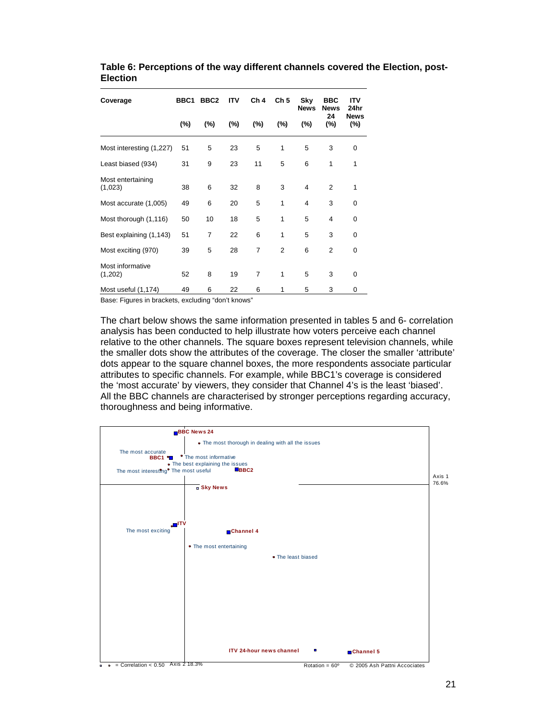| Coverage                     | BBC <sub>1</sub> | BBC <sub>2</sub> | <b>ITV</b> | Ch <sub>4</sub> | Ch <sub>5</sub> | Sky<br><b>News</b> | <b>BBC</b><br><b>News</b> | ITV<br>24hr        |
|------------------------------|------------------|------------------|------------|-----------------|-----------------|--------------------|---------------------------|--------------------|
|                              | $(\% )$          | (%)              | (%)        | $(\% )$         | (%)             | (%)                | 24<br>(%)                 | <b>News</b><br>(%) |
| Most interesting (1,227)     | 51               | 5                | 23         | 5               | 1               | 5                  | 3                         | $\Omega$           |
| Least biased (934)           | 31               | 9                | 23         | 11              | 5               | 6                  | 1                         | 1                  |
| Most entertaining<br>(1,023) | 38               | 6                | 32         | 8               | 3               | 4                  | $\overline{2}$            | 1                  |
| Most accurate (1,005)        | 49               | 6                | 20         | 5               | 1               | 4                  | 3                         | 0                  |
| Most thorough (1,116)        | 50               | 10               | 18         | 5               | 1               | 5                  | $\overline{4}$            | $\Omega$           |
| Best explaining (1,143)      | 51               | 7                | 22         | 6               | 1               | 5                  | 3                         | 0                  |
| Most exciting (970)          | 39               | 5                | 28         | 7               | $\overline{2}$  | 6                  | $\overline{2}$            | 0                  |
| Most informative<br>(1,202)  | 52               | 8                | 19         | $\overline{7}$  | 1               | 5                  | 3                         | 0                  |
| Most useful (1,174)          | 49               | 6                | 22         | 6               | 1               | 5                  | 3                         | 0                  |

**Table 6: Perceptions of the way different channels covered the Election, post-Election** 

Base: Figures in brackets, excluding "don't knows"

The chart below shows the same information presented in tables 5 and 6- correlation analysis has been conducted to help illustrate how voters perceive each channel relative to the other channels. The square boxes represent television channels, while the smaller dots show the attributes of the coverage. The closer the smaller 'attribute' dots appear to the square channel boxes, the more respondents associate particular attributes to specific channels. For example, while BBC1's coverage is considered the 'most accurate' by viewers, they consider that Channel 4's is the least 'biased'. All the BBC channels are characterised by stronger perceptions regarding accuracy, thoroughness and being informative.

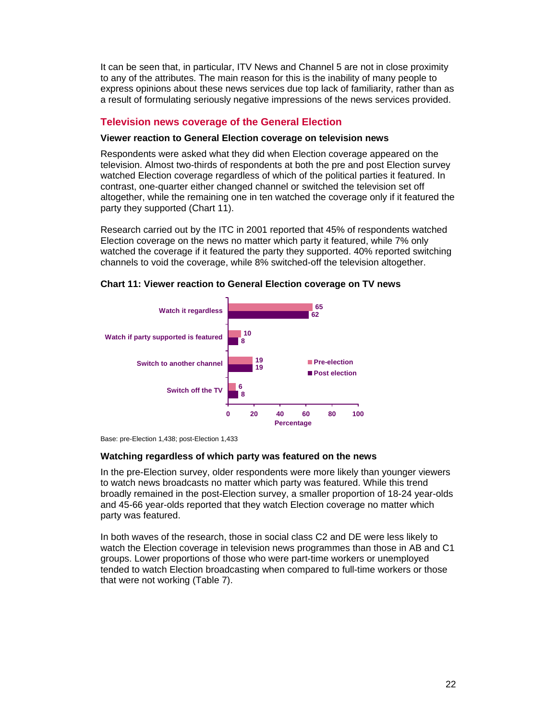It can be seen that, in particular, ITV News and Channel 5 are not in close proximity to any of the attributes. The main reason for this is the inability of many people to express opinions about these news services due top lack of familiarity, rather than as a result of formulating seriously negative impressions of the news services provided.

## **Television news coverage of the General Election**

#### **Viewer reaction to General Election coverage on television news**

Respondents were asked what they did when Election coverage appeared on the television. Almost two-thirds of respondents at both the pre and post Election survey watched Election coverage regardless of which of the political parties it featured. In contrast, one-quarter either changed channel or switched the television set off altogether, while the remaining one in ten watched the coverage only if it featured the party they supported (Chart 11).

Research carried out by the ITC in 2001 reported that 45% of respondents watched Election coverage on the news no matter which party it featured, while 7% only watched the coverage if it featured the party they supported. 40% reported switching channels to void the coverage, while 8% switched-off the television altogether.



#### **Chart 11: Viewer reaction to General Election coverage on TV news**

#### **Watching regardless of which party was featured on the news**

In the pre-Election survey, older respondents were more likely than younger viewers to watch news broadcasts no matter which party was featured. While this trend broadly remained in the post-Election survey, a smaller proportion of 18-24 year-olds and 45-66 year-olds reported that they watch Election coverage no matter which party was featured.

In both waves of the research, those in social class C2 and DE were less likely to watch the Election coverage in television news programmes than those in AB and C1 groups. Lower proportions of those who were part-time workers or unemployed tended to watch Election broadcasting when compared to full-time workers or those that were not working (Table 7).

Base: pre-Election 1,438; post-Election 1,433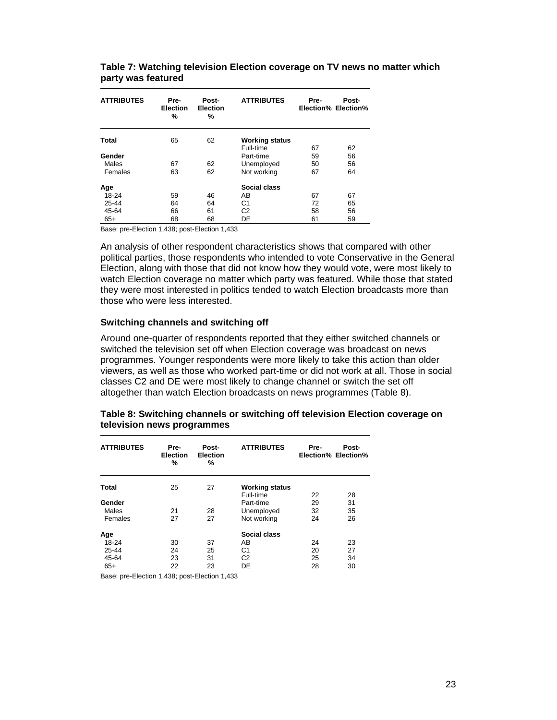| <b>ATTRIBUTES</b> | Pre-<br><b>Election</b><br>% | Post-<br><b>Election</b><br>% | <b>ATTRIBUTES</b>     | Pre- | Post-<br>Election% Election% |
|-------------------|------------------------------|-------------------------------|-----------------------|------|------------------------------|
| Total             | 65                           | 62                            | <b>Working status</b> |      |                              |
|                   |                              |                               | Full-time             | 67   | 62                           |
| Gender            |                              |                               | Part-time             | 59   | 56                           |
| Males             | 67                           | 62                            | Unemployed            | 50   | 56                           |
| Females           | 63                           | 62                            | Not working           | 67   | 64                           |
| Age               |                              |                               | Social class          |      |                              |
| 18-24             | 59                           | 46                            | AB                    | 67   | 67                           |
| $25 - 44$         | 64                           | 64                            | C <sub>1</sub>        | 72   | 65                           |
| 45-64             | 66                           | 61                            | C <sub>2</sub>        | 58   | 56                           |
| $65+$             | 68                           | 68                            | DE                    | 61   | 59                           |

**Table 7: Watching television Election coverage on TV news no matter which party was featured** 

Base: pre-Election 1,438; post-Election 1,433

An analysis of other respondent characteristics shows that compared with other political parties, those respondents who intended to vote Conservative in the General Election, along with those that did not know how they would vote, were most likely to watch Election coverage no matter which party was featured. While those that stated they were most interested in politics tended to watch Election broadcasts more than those who were less interested.

#### **Switching channels and switching off**

Around one-quarter of respondents reported that they either switched channels or switched the television set off when Election coverage was broadcast on news programmes. Younger respondents were more likely to take this action than older viewers, as well as those who worked part-time or did not work at all. Those in social classes C2 and DE were most likely to change channel or switch the set off altogether than watch Election broadcasts on news programmes (Table 8).

| Table 8: Switching channels or switching off television Election coverage on |  |
|------------------------------------------------------------------------------|--|
| television news programmes                                                   |  |

| <b>ATTRIBUTES</b> | Pre-<br><b>Election</b><br>% | Post-<br><b>Election</b><br>% | <b>ATTRIBUTES</b>     | Pre- | Post-<br>Election% Election% |
|-------------------|------------------------------|-------------------------------|-----------------------|------|------------------------------|
| <b>Total</b>      | 25                           | 27                            | <b>Working status</b> |      |                              |
|                   |                              |                               | Full-time             | 22   | 28                           |
| Gender            |                              |                               | Part-time             | 29   | 31                           |
| Males             | 21                           | 28                            | Unemployed            | 32   | 35                           |
| Females           | 27                           | 27                            | Not working           | 24   | 26                           |
| Age               |                              |                               | Social class          |      |                              |
| 18-24             | 30                           | 37                            | AB                    | 24   | 23                           |
| 25-44             | 24                           | 25                            | C <sub>1</sub>        | 20   | 27                           |
| 45-64             | 23                           | 31                            | C <sub>2</sub>        | 25   | 34                           |
| $65+$             | 22                           | 23                            | DE                    | 28   | 30                           |

Base: pre-Election 1,438; post-Election 1,433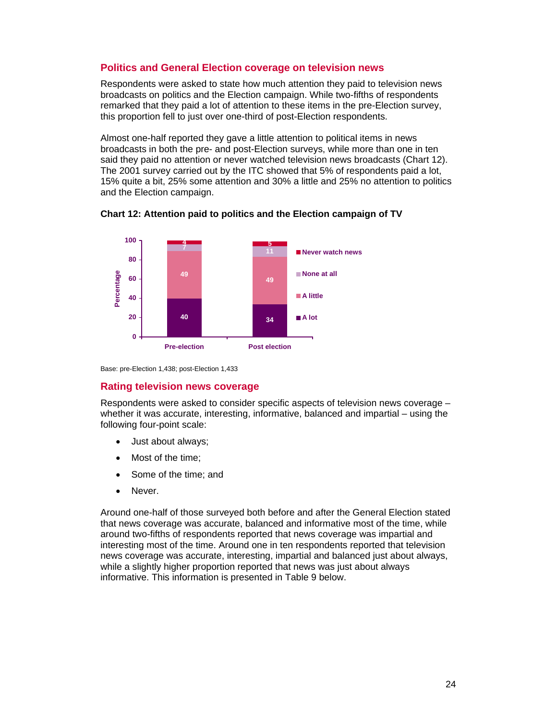# **Politics and General Election coverage on television news**

Respondents were asked to state how much attention they paid to television news broadcasts on politics and the Election campaign. While two-fifths of respondents remarked that they paid a lot of attention to these items in the pre-Election survey, this proportion fell to just over one-third of post-Election respondents.

Almost one-half reported they gave a little attention to political items in news broadcasts in both the pre- and post-Election surveys, while more than one in ten said they paid no attention or never watched television news broadcasts (Chart 12). The 2001 survey carried out by the ITC showed that 5% of respondents paid a lot, 15% quite a bit, 25% some attention and 30% a little and 25% no attention to politics and the Election campaign.



**Chart 12: Attention paid to politics and the Election campaign of TV** 

Base: pre-Election 1,438; post-Election 1,433

### **Rating television news coverage**

Respondents were asked to consider specific aspects of television news coverage – whether it was accurate, interesting, informative, balanced and impartial – using the following four-point scale:

- Just about always;
- Most of the time;
- Some of the time; and
- Never.

Around one-half of those surveyed both before and after the General Election stated that news coverage was accurate, balanced and informative most of the time, while around two-fifths of respondents reported that news coverage was impartial and interesting most of the time. Around one in ten respondents reported that television news coverage was accurate, interesting, impartial and balanced just about always, while a slightly higher proportion reported that news was just about always informative. This information is presented in Table 9 below.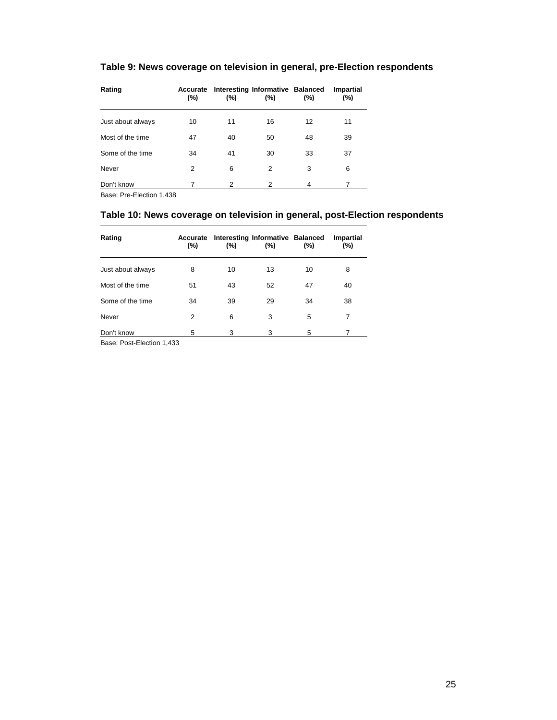| Rating            | Accurate<br>(%) | $(\% )$ | Interesting Informative Balanced<br>(%) | (%) | Impartial<br>(%) |
|-------------------|-----------------|---------|-----------------------------------------|-----|------------------|
| Just about always | 10              | 11      | 16                                      | 12  | 11               |
| Most of the time  | 47              | 40      | 50                                      | 48  | 39               |
| Some of the time  | 34              | 41      | 30                                      | 33  | 37               |
| Never             | 2               | 6       | 2                                       | 3   | 6                |
| Don't know        | 7               | 2       | 2                                       | 4   | 7                |

# **Table 9: News coverage on television in general, pre-Election respondents**

Base: Pre-Election 1,438

## **Table 10: News coverage on television in general, post-Election respondents**

| Rating            | Accurate<br>(%) | (%) | Interesting Informative Balanced<br>$(\% )$ | (%) | <b>Impartial</b><br>(%) |
|-------------------|-----------------|-----|---------------------------------------------|-----|-------------------------|
| Just about always | 8               | 10  | 13                                          | 10  | 8                       |
| Most of the time  | 51              | 43  | 52                                          | 47  | 40                      |
| Some of the time  | 34              | 39  | 29                                          | 34  | 38                      |
| Never             | 2               | 6   | 3                                           | 5   | 7                       |
| Don't know        | 5               | 3   | 3                                           | 5   |                         |

Base: Post-Election 1,433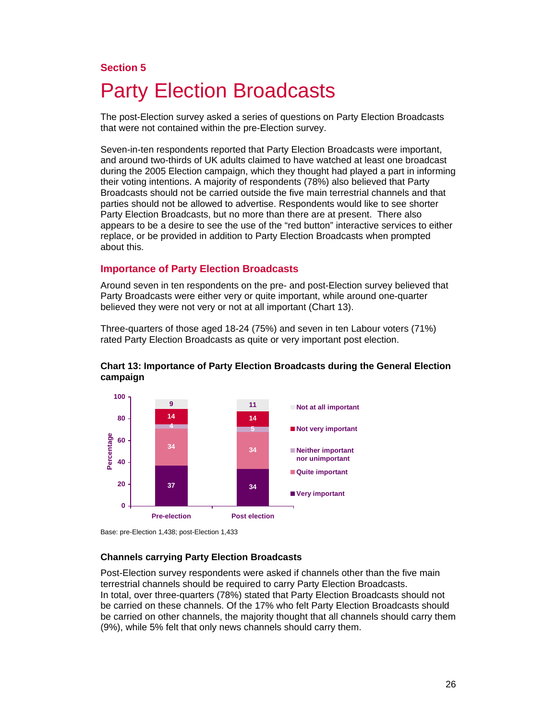## **Section 5**

# Party Election Broadcasts

The post-Election survey asked a series of questions on Party Election Broadcasts that were not contained within the pre-Election survey.

Seven-in-ten respondents reported that Party Election Broadcasts were important, and around two-thirds of UK adults claimed to have watched at least one broadcast during the 2005 Election campaign, which they thought had played a part in informing their voting intentions. A majority of respondents (78%) also believed that Party Broadcasts should not be carried outside the five main terrestrial channels and that parties should not be allowed to advertise. Respondents would like to see shorter Party Election Broadcasts, but no more than there are at present. There also appears to be a desire to see the use of the "red button" interactive services to either replace, or be provided in addition to Party Election Broadcasts when prompted about this.

#### **Importance of Party Election Broadcasts**

Around seven in ten respondents on the pre- and post-Election survey believed that Party Broadcasts were either very or quite important, while around one-quarter believed they were not very or not at all important (Chart 13).

Three-quarters of those aged 18-24 (75%) and seven in ten Labour voters (71%) rated Party Election Broadcasts as quite or very important post election.



#### **Chart 13: Importance of Party Election Broadcasts during the General Election campaign**

Base: pre-Election 1,438; post-Election 1,433

#### **Channels carrying Party Election Broadcasts**

Post-Election survey respondents were asked if channels other than the five main terrestrial channels should be required to carry Party Election Broadcasts. In total, over three-quarters (78%) stated that Party Election Broadcasts should not be carried on these channels. Of the 17% who felt Party Election Broadcasts should be carried on other channels, the majority thought that all channels should carry them (9%), while 5% felt that only news channels should carry them.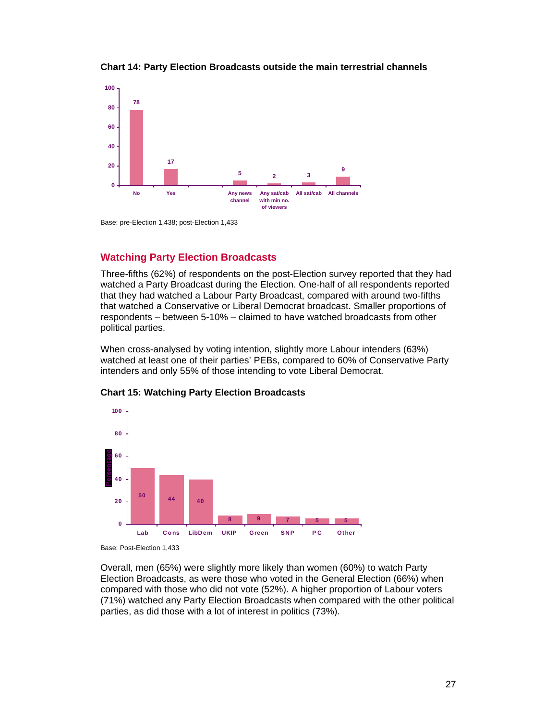

**Chart 14: Party Election Broadcasts outside the main terrestrial channels** 

Base: pre-Election 1,438; post-Election 1,433

## **Watching Party Election Broadcasts**

Three-fifths (62%) of respondents on the post-Election survey reported that they had watched a Party Broadcast during the Election. One-half of all respondents reported that they had watched a Labour Party Broadcast, compared with around two-fifths that watched a Conservative or Liberal Democrat broadcast. Smaller proportions of respondents – between 5-10% – claimed to have watched broadcasts from other political parties.

When cross-analysed by voting intention, slightly more Labour intenders (63%) watched at least one of their parties' PEBs, compared to 60% of Conservative Party intenders and only 55% of those intending to vote Liberal Democrat.



#### **Chart 15: Watching Party Election Broadcasts**

Base: Post-Election 1,433

Overall, men (65%) were slightly more likely than women (60%) to watch Party Election Broadcasts, as were those who voted in the General Election (66%) when compared with those who did not vote (52%). A higher proportion of Labour voters (71%) watched any Party Election Broadcasts when compared with the other political parties, as did those with a lot of interest in politics (73%).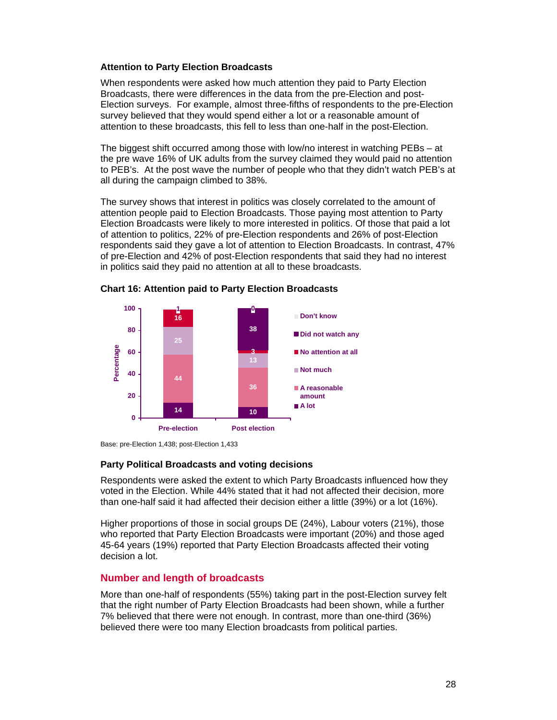#### **Attention to Party Election Broadcasts**

When respondents were asked how much attention they paid to Party Election Broadcasts, there were differences in the data from the pre-Election and post-Election surveys. For example, almost three-fifths of respondents to the pre-Election survey believed that they would spend either a lot or a reasonable amount of attention to these broadcasts, this fell to less than one-half in the post-Election.

The biggest shift occurred among those with low/no interest in watching PEBs – at the pre wave 16% of UK adults from the survey claimed they would paid no attention to PEB's. At the post wave the number of people who that they didn't watch PEB's at all during the campaign climbed to 38%.

The survey shows that interest in politics was closely correlated to the amount of attention people paid to Election Broadcasts. Those paying most attention to Party Election Broadcasts were likely to more interested in politics. Of those that paid a lot of attention to politics, 22% of pre-Election respondents and 26% of post-Election respondents said they gave a lot of attention to Election Broadcasts. In contrast, 47% of pre-Election and 42% of post-Election respondents that said they had no interest in politics said they paid no attention at all to these broadcasts.







#### **Party Political Broadcasts and voting decisions**

Respondents were asked the extent to which Party Broadcasts influenced how they voted in the Election. While 44% stated that it had not affected their decision, more than one-half said it had affected their decision either a little (39%) or a lot (16%).

Higher proportions of those in social groups DE (24%), Labour voters (21%), those who reported that Party Election Broadcasts were important (20%) and those aged 45-64 years (19%) reported that Party Election Broadcasts affected their voting decision a lot.

### **Number and length of broadcasts**

More than one-half of respondents (55%) taking part in the post-Election survey felt that the right number of Party Election Broadcasts had been shown, while a further 7% believed that there were not enough. In contrast, more than one-third (36%) believed there were too many Election broadcasts from political parties.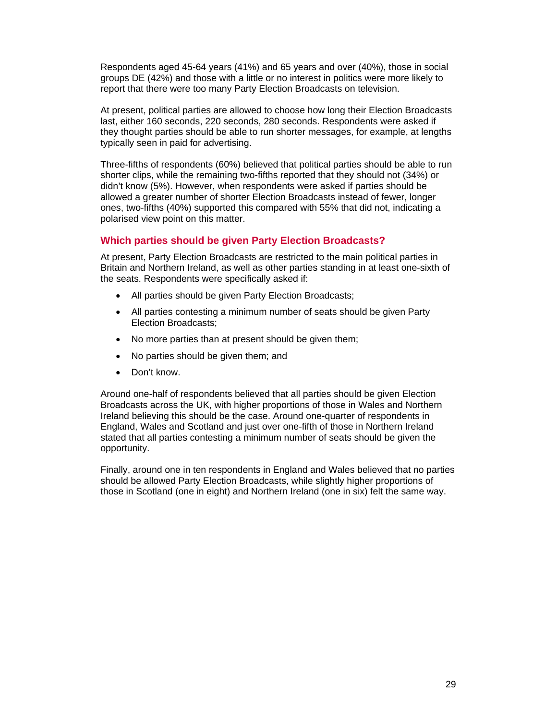Respondents aged 45-64 years (41%) and 65 years and over (40%), those in social groups DE (42%) and those with a little or no interest in politics were more likely to report that there were too many Party Election Broadcasts on television.

At present, political parties are allowed to choose how long their Election Broadcasts last, either 160 seconds, 220 seconds, 280 seconds. Respondents were asked if they thought parties should be able to run shorter messages, for example, at lengths typically seen in paid for advertising.

Three-fifths of respondents (60%) believed that political parties should be able to run shorter clips, while the remaining two-fifths reported that they should not (34%) or didn't know (5%). However, when respondents were asked if parties should be allowed a greater number of shorter Election Broadcasts instead of fewer, longer ones, two-fifths (40%) supported this compared with 55% that did not, indicating a polarised view point on this matter.

## **Which parties should be given Party Election Broadcasts?**

At present, Party Election Broadcasts are restricted to the main political parties in Britain and Northern Ireland, as well as other parties standing in at least one-sixth of the seats. Respondents were specifically asked if:

- All parties should be given Party Election Broadcasts;
- All parties contesting a minimum number of seats should be given Party Election Broadcasts;
- No more parties than at present should be given them;
- No parties should be given them; and
- Don't know.

Around one-half of respondents believed that all parties should be given Election Broadcasts across the UK, with higher proportions of those in Wales and Northern Ireland believing this should be the case. Around one-quarter of respondents in England, Wales and Scotland and just over one-fifth of those in Northern Ireland stated that all parties contesting a minimum number of seats should be given the opportunity.

Finally, around one in ten respondents in England and Wales believed that no parties should be allowed Party Election Broadcasts, while slightly higher proportions of those in Scotland (one in eight) and Northern Ireland (one in six) felt the same way.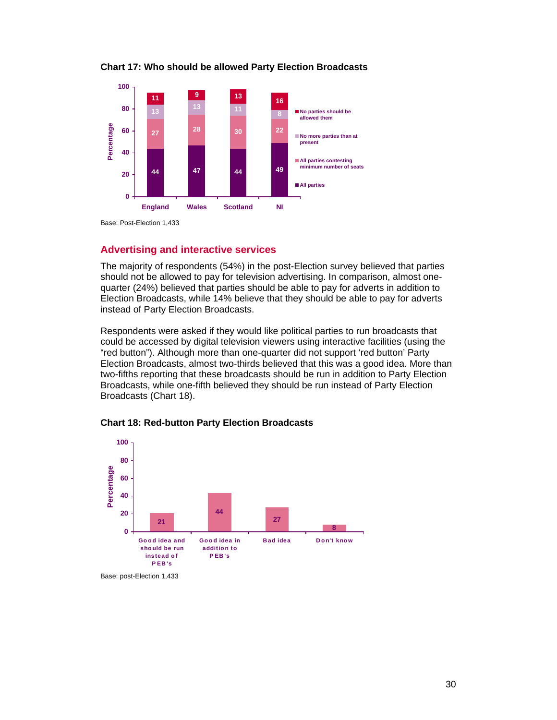

#### **Chart 17: Who should be allowed Party Election Broadcasts**

Base: Post-Election 1,433

### **Advertising and interactive services**

The majority of respondents (54%) in the post-Election survey believed that parties should not be allowed to pay for television advertising. In comparison, almost onequarter (24%) believed that parties should be able to pay for adverts in addition to Election Broadcasts, while 14% believe that they should be able to pay for adverts instead of Party Election Broadcasts.

Respondents were asked if they would like political parties to run broadcasts that could be accessed by digital television viewers using interactive facilities (using the "red button"). Although more than one-quarter did not support 'red button' Party Election Broadcasts, almost two-thirds believed that this was a good idea. More than two-fifths reporting that these broadcasts should be run in addition to Party Election Broadcasts, while one-fifth believed they should be run instead of Party Election Broadcasts (Chart 18).



#### **Chart 18: Red-button Party Election Broadcasts**

Base: post-Election 1,433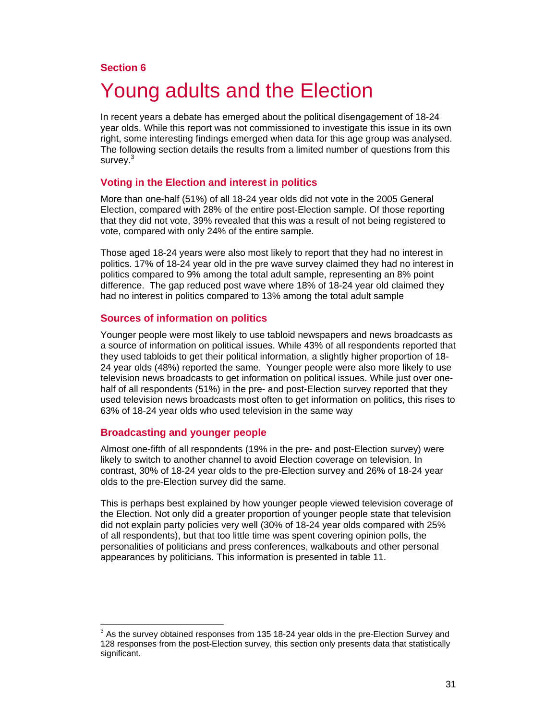## **Section 6**

# Young adults and the Election

In recent years a debate has emerged about the political disengagement of 18-24 year olds. While this report was not commissioned to investigate this issue in its own right, some interesting findings emerged when data for this age group was analysed. The following section details the results from a limited number of questions from this survey.<sup>3</sup>

#### **Voting in the Election and interest in politics**

More than one-half (51%) of all 18-24 year olds did not vote in the 2005 General Election, compared with 28% of the entire post-Election sample. Of those reporting that they did not vote, 39% revealed that this was a result of not being registered to vote, compared with only 24% of the entire sample.

Those aged 18-24 years were also most likely to report that they had no interest in politics. 17% of 18-24 year old in the pre wave survey claimed they had no interest in politics compared to 9% among the total adult sample, representing an 8% point difference. The gap reduced post wave where 18% of 18-24 year old claimed they had no interest in politics compared to 13% among the total adult sample

#### **Sources of information on politics**

Younger people were most likely to use tabloid newspapers and news broadcasts as a source of information on political issues. While 43% of all respondents reported that they used tabloids to get their political information, a slightly higher proportion of 18- 24 year olds (48%) reported the same. Younger people were also more likely to use television news broadcasts to get information on political issues. While just over onehalf of all respondents (51%) in the pre- and post-Election survey reported that they used television news broadcasts most often to get information on politics, this rises to 63% of 18-24 year olds who used television in the same way

#### **Broadcasting and younger people**

 $\overline{a}$ 

Almost one-fifth of all respondents (19% in the pre- and post-Election survey) were likely to switch to another channel to avoid Election coverage on television. In contrast, 30% of 18-24 year olds to the pre-Election survey and 26% of 18-24 year olds to the pre-Election survey did the same.

This is perhaps best explained by how younger people viewed television coverage of the Election. Not only did a greater proportion of younger people state that television did not explain party policies very well (30% of 18-24 year olds compared with 25% of all respondents), but that too little time was spent covering opinion polls, the personalities of politicians and press conferences, walkabouts and other personal appearances by politicians. This information is presented in table 11.

 $3$  As the survey obtained responses from 135 18-24 year olds in the pre-Election Survey and 128 responses from the post-Election survey, this section only presents data that statistically significant.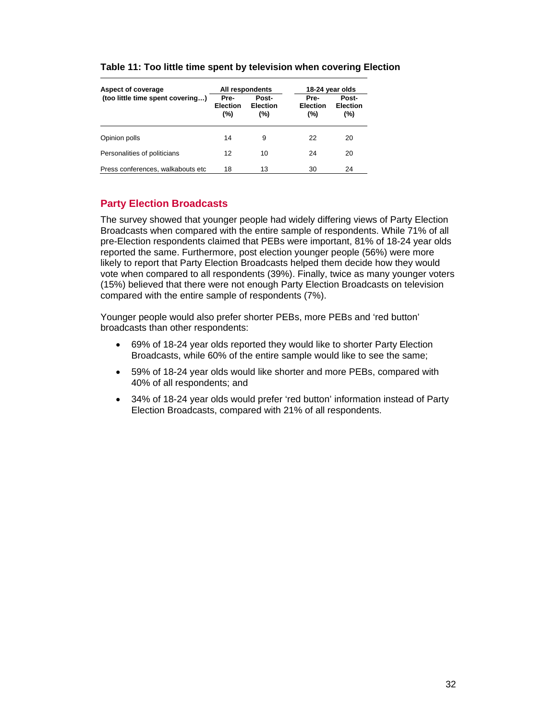| Aspect of coverage                |                                | All respondents                 |                                | 18-24 year olds                 |  |  |
|-----------------------------------|--------------------------------|---------------------------------|--------------------------------|---------------------------------|--|--|
| (too little time spent covering)  | Pre-<br><b>Election</b><br>(%) | Post-<br><b>Election</b><br>(%) | Pre-<br><b>Election</b><br>(%) | Post-<br><b>Election</b><br>(%) |  |  |
| Opinion polls                     | 14                             | 9                               | 22                             | 20                              |  |  |
| Personalities of politicians      | 12                             | 10                              | 24                             | 20                              |  |  |
| Press conferences, walkabouts etc | 18                             | 13                              | 30                             | 24                              |  |  |

#### **Table 11: Too little time spent by television when covering Election**

# **Party Election Broadcasts**

The survey showed that younger people had widely differing views of Party Election Broadcasts when compared with the entire sample of respondents. While 71% of all pre-Election respondents claimed that PEBs were important, 81% of 18-24 year olds reported the same. Furthermore, post election younger people (56%) were more likely to report that Party Election Broadcasts helped them decide how they would vote when compared to all respondents (39%). Finally, twice as many younger voters (15%) believed that there were not enough Party Election Broadcasts on television compared with the entire sample of respondents (7%).

Younger people would also prefer shorter PEBs, more PEBs and 'red button' broadcasts than other respondents:

- 69% of 18-24 year olds reported they would like to shorter Party Election Broadcasts, while 60% of the entire sample would like to see the same;
- 59% of 18-24 year olds would like shorter and more PEBs, compared with 40% of all respondents; and
- 34% of 18-24 year olds would prefer 'red button' information instead of Party Election Broadcasts, compared with 21% of all respondents.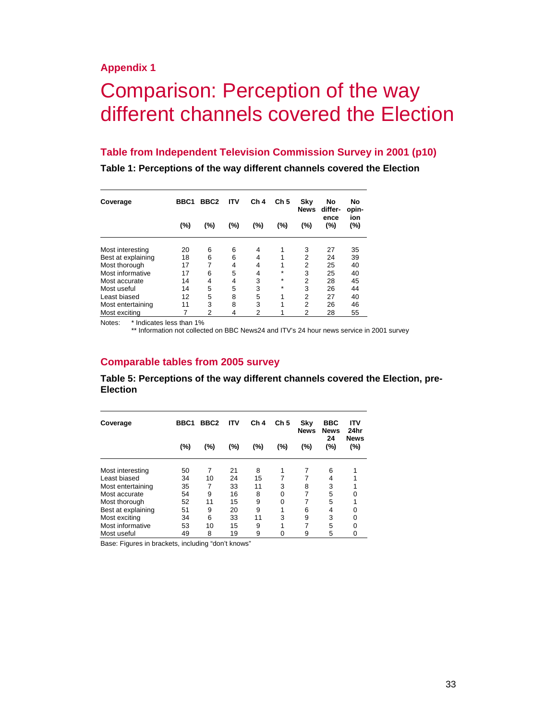# Comparison: Perception of the way different channels covered the Election

#### **Table from Independent Television Commission Survey in 2001 (p10)**

**Table 1: Perceptions of the way different channels covered the Election** 

| Coverage           | BBC1 | BBC <sub>2</sub> | <b>ITV</b> | Ch <sub>4</sub> | Ch <sub>5</sub> | Sky<br><b>News</b> | No<br>differ- | No<br>opin- |
|--------------------|------|------------------|------------|-----------------|-----------------|--------------------|---------------|-------------|
|                    | (%)  | (%)              | (%)        | (%)             | (%)             | (%)                | ence<br>(%)   | ion<br>(%)  |
| Most interesting   | 20   | 6                | 6          | 4               |                 | 3                  | 27            | 35          |
| Best at explaining | 18   | 6                | 6          | 4               |                 | 2                  | 24            | 39          |
| Most thorough      | 17   |                  | 4          | 4               |                 | 2                  | 25            | 40          |
| Most informative   | 17   | 6                | 5          | 4               | $\star$         | 3                  | 25            | 40          |
| Most accurate      | 14   | 4                | 4          | 3               | $\star$         | $\overline{2}$     | 28            | 45          |
| Most useful        | 14   | 5                | 5          | 3               | $\star$         | 3                  | 26            | 44          |
| Least biased       | 12   | 5                | 8          | 5               | 1               | $\overline{2}$     | 27            | 40          |
| Most entertaining  | 11   | 3                | 8          | 3               | 1               | 2                  | 26            | 46          |
| Most exciting      |      | 2                | 4          | 2               |                 | 2                  | 28            | 55          |

Notes: \* Indicates less than 1%

\*\* Information not collected on BBC News24 and ITV's 24 hour news service in 2001 survey

### **Comparable tables from 2005 survey**

**Table 5: Perceptions of the way different channels covered the Election, pre-Election** 

| Coverage           | BBC <sub>1</sub> | BBC <sub>2</sub> | ITV | Ch <sub>4</sub> | Ch <sub>5</sub> | Sky<br><b>News</b> | <b>BBC</b><br><b>News</b><br>24 | <b>ITV</b><br>24hr<br><b>News</b> |
|--------------------|------------------|------------------|-----|-----------------|-----------------|--------------------|---------------------------------|-----------------------------------|
|                    | (%)              | (%)              | (%) | (%)             | (%)             | (%)                | $(\%)$                          | (%)                               |
| Most interesting   | 50               | 7                | 21  | 8               |                 | 7                  | 6                               |                                   |
| Least biased       | 34               | 10               | 24  | 15              |                 |                    | 4                               |                                   |
| Most entertaining  | 35               | 7                | 33  | 11              | 3               | 8                  | 3                               |                                   |
| Most accurate      | 54               | 9                | 16  | 8               | 0               | 7                  | 5                               | 0                                 |
| Most thorough      | 52               | 11               | 15  | 9               | 0               |                    | 5                               |                                   |
| Best at explaining | 51               | 9                | 20  | 9               |                 | 6                  | 4                               | 0                                 |
| Most exciting      | 34               | 6                | 33  | 11              | 3               | 9                  | 3                               | 0                                 |
| Most informative   | 53               | 10               | 15  | 9               |                 | 7                  | 5                               | 0                                 |
| Most useful        | 49               | 8                | 19  | 9               | 0               | 9                  | 5                               | 0                                 |

Base: Figures in brackets, including "don't knows"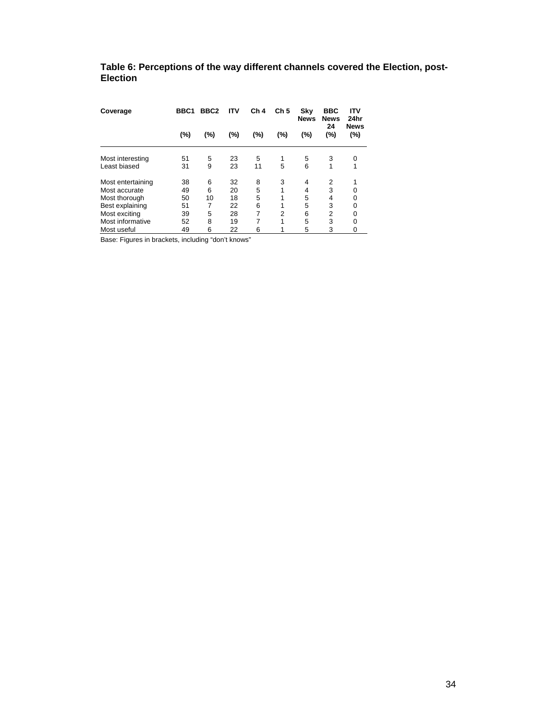# **Table 6: Perceptions of the way different channels covered the Election, post-Election**

| Coverage          | BBC <sub>1</sub> | BBC <sub>2</sub> | <b>ITV</b> | Ch <sub>4</sub> | Ch <sub>5</sub> | Sky<br><b>News</b> | <b>BBC</b><br><b>News</b><br>24 | <b>ITV</b><br>24hr<br><b>News</b> |
|-------------------|------------------|------------------|------------|-----------------|-----------------|--------------------|---------------------------------|-----------------------------------|
|                   | (%)              | (%)              | (%)        | (%)             | (%)             | (%)                | $(\%)$                          | (%)                               |
| Most interesting  | 51               | 5                | 23         | 5               | 1               | 5                  | 3                               | 0                                 |
| Least biased      | 31               | 9                | 23         | 11              | 5               | 6                  | 1                               | 1                                 |
| Most entertaining | 38               | 6                | 32         | 8               | 3               | 4                  | 2                               |                                   |
| Most accurate     | 49               | 6                | 20         | 5               | 1               | 4                  | 3                               | 0                                 |
| Most thorough     | 50               | 10               | 18         | 5               |                 | 5                  | 4                               | 0                                 |
| Best explaining   | 51               | 7                | 22         | 6               | 4               | 5                  | 3                               | 0                                 |
| Most exciting     | 39               | 5                | 28         | 7               | 2               | 6                  | 2                               | 0                                 |
| Most informative  | 52               | 8                | 19         | 7               | 1               | 5                  | 3                               | 0                                 |
| Most useful       | 49               | 6                | 22         | 6               |                 | 5                  | 3                               | 0                                 |

Base: Figures in brackets, including "don't knows"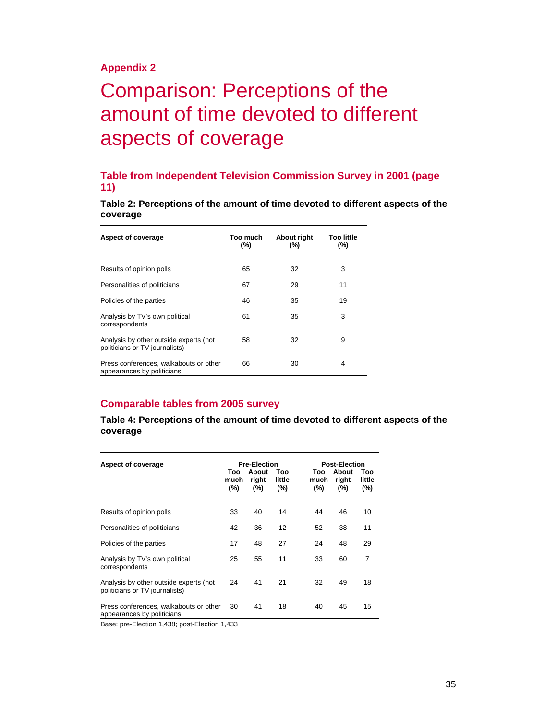# Comparison: Perceptions of the amount of time devoted to different aspects of coverage

# **Table from Independent Television Commission Survey in 2001 (page 11)**

**Table 2: Perceptions of the amount of time devoted to different aspects of the coverage** 

| Aspect of coverage                                                       | Too much<br>$(\% )$ | About right<br>$(\% )$ | Too little<br>(%) |
|--------------------------------------------------------------------------|---------------------|------------------------|-------------------|
| Results of opinion polls                                                 | 65                  | 32                     | 3                 |
| Personalities of politicians                                             | 67                  | 29                     | 11                |
| Policies of the parties                                                  | 46                  | 35                     | 19                |
| Analysis by TV's own political<br>correspondents                         | 61                  | 35                     | 3                 |
| Analysis by other outside experts (not<br>politicians or TV journalists) | 58                  | 32                     | 9                 |
| Press conferences, walkabouts or other<br>appearances by politicians     | 66                  | 30                     | 4                 |

### **Comparable tables from 2005 survey**

**Table 4: Perceptions of the amount of time devoted to different aspects of the coverage** 

| Aspect of coverage                                                       | Too<br>much<br>$(\% )$ | <b>Pre-Election</b><br>About<br>right<br>$(\%)$ | Too<br>little<br>$(\% )$ | Too<br>much<br>(%) | <b>Post-Election</b><br>About<br>right<br>$(\%)$ | Too<br>little<br>(%) |
|--------------------------------------------------------------------------|------------------------|-------------------------------------------------|--------------------------|--------------------|--------------------------------------------------|----------------------|
| Results of opinion polls                                                 | 33                     | 40                                              | 14                       | 44                 | 46                                               | 10                   |
| Personalities of politicians                                             | 42                     | 36                                              | 12                       | 52                 | 38                                               | 11                   |
| Policies of the parties                                                  | 17                     | 48                                              | 27                       | 24                 | 48                                               | 29                   |
| Analysis by TV's own political<br>correspondents                         | 25                     | 55                                              | 11                       | 33                 | 60                                               | 7                    |
| Analysis by other outside experts (not<br>politicians or TV journalists) | 24                     | 41                                              | 21                       | 32                 | 49                                               | 18                   |
| Press conferences, walkabouts or other<br>appearances by politicians     | 30                     | 41                                              | 18                       | 40                 | 45                                               | 15                   |

Base: pre-Election 1,438; post-Election 1,433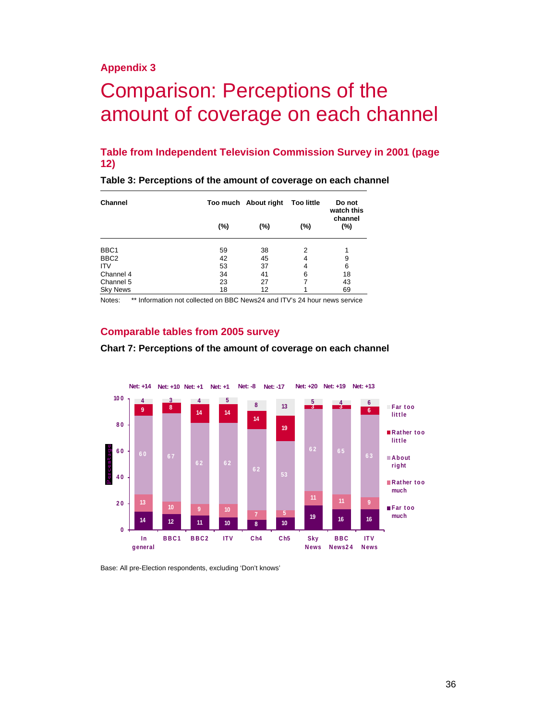# Comparison: Perceptions of the amount of coverage on each channel

## **Table from Independent Television Commission Survey in 2001 (page 12)**

**Table 3: Perceptions of the amount of coverage on each channel** 

| <b>Channel</b>   |        | Too much About right | <b>Too little</b><br>watch this |                |  |
|------------------|--------|----------------------|---------------------------------|----------------|--|
|                  | $(\%)$ | (%)                  | (%)                             | channel<br>(%) |  |
| BBC <sub>1</sub> | 59     | 38                   | 2                               |                |  |
| BBC <sub>2</sub> | 42     | 45                   | 4                               | 9              |  |
| <b>ITV</b>       | 53     | 37                   | 4                               | 6              |  |
| Channel 4        | 34     | 41                   | 6                               | 18             |  |
| Channel 5        | 23     | 27                   |                                 | 43             |  |
| <b>Sky News</b>  | 18     | 12                   |                                 | 69             |  |

Notes: \*\* Information not collected on BBC News24 and ITV's 24 hour news service

#### **Comparable tables from 2005 survey**



#### **Chart 7: Perceptions of the amount of coverage on each channel**

Base: All pre-Election respondents, excluding 'Don't knows'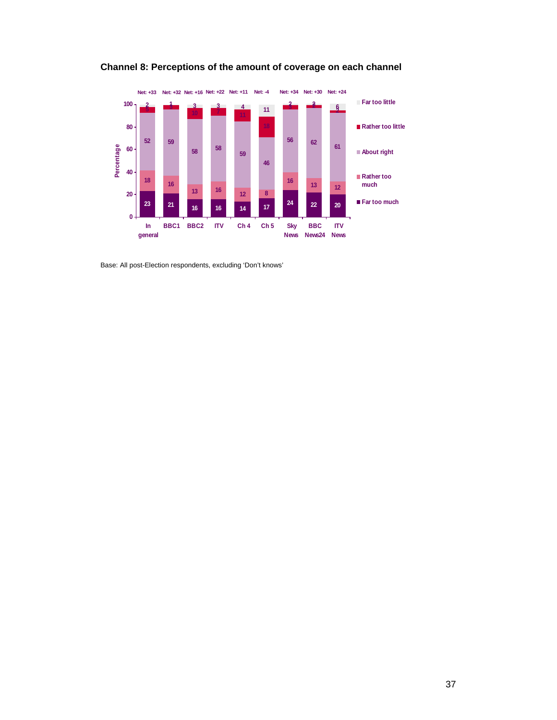

**Channel 8: Perceptions of the amount of coverage on each channel** 

Base: All post-Election respondents, excluding 'Don't knows'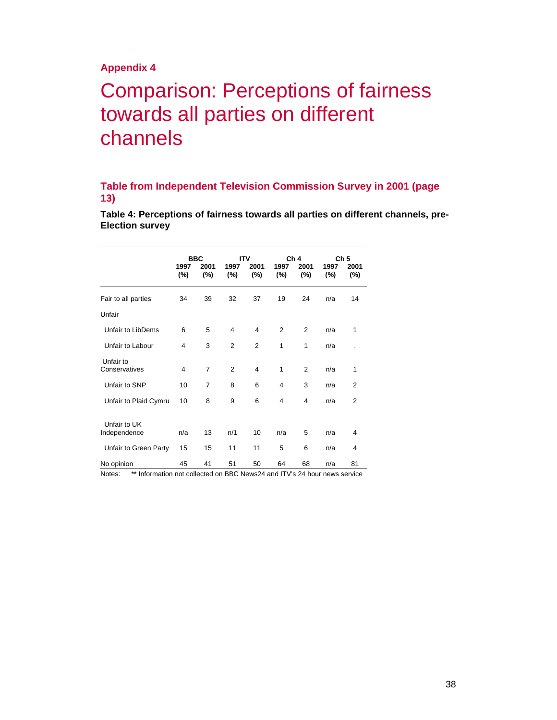# Comparison: Perceptions of fairness towards all parties on different channels

## **Table from Independent Television Commission Survey in 2001 (page 13)**

**Table 4: Perceptions of fairness towards all parties on different channels, pre-Election survey** 

|                              | 1997           | <b>BBC</b><br>2001 | 1997           | <b>ITV</b><br>2001 | 1997           | Ch <sub>4</sub><br>2001 | 1997 | Ch <sub>5</sub><br>2001 |
|------------------------------|----------------|--------------------|----------------|--------------------|----------------|-------------------------|------|-------------------------|
|                              | (%)            | $(\%)$             | $(\%)$         | $(\%)$             | $(\%)$         | $(\%)$                  | (%)  | $(\%)$                  |
| Fair to all parties          | 34             | 39                 | 32             | 37                 | 19             | 24                      | n/a  | 14                      |
| Unfair                       |                |                    |                |                    |                |                         |      |                         |
| Unfair to LibDems            | 6              | 5                  | $\overline{4}$ | 4                  | $\overline{2}$ | $\overline{2}$          | n/a  | 1                       |
| Unfair to Labour             | 4              | 3                  | $\overline{2}$ | $\overline{2}$     | 1              | 1                       | n/a  |                         |
| Unfair to<br>Conservatives   | $\overline{4}$ | 7                  | $\overline{2}$ | $\overline{4}$     | 1              | $\overline{2}$          | n/a  | 1                       |
| Unfair to SNP                | 10             | $\overline{7}$     | 8              | 6                  | 4              | 3                       | n/a  | $\overline{2}$          |
| Unfair to Plaid Cymru        | 10             | 8                  | 9              | 6                  | 4              | 4                       | n/a  | $\overline{2}$          |
| Unfair to UK<br>Independence | n/a            | 13                 | n/1            | 10                 | n/a            | 5                       | n/a  | 4                       |
| Unfair to Green Party        | 15             | 15                 | 11             | 11                 | 5              | 6                       | n/a  | 4                       |
| No opinion                   | 45             | 41                 | 51             | 50                 | 64             | 68                      | n/a  | 81                      |

Notes: \*\* Information not collected on BBC News24 and ITV's 24 hour news service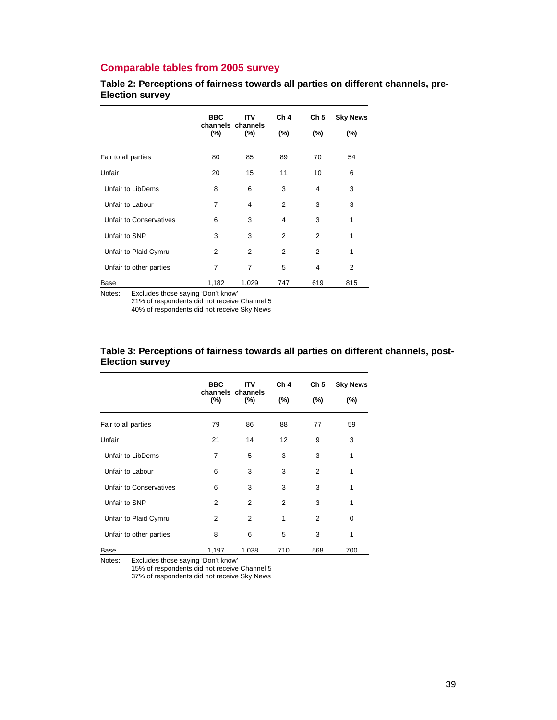# **Comparable tables from 2005 survey**

**Table 2: Perceptions of fairness towards all parties on different channels, pre-Election survey** 

|                         | <b>BBC</b> | Ch <sub>4</sub><br>ITV<br>channels channels |     | Ch <sub>5</sub> | <b>Sky News</b> |
|-------------------------|------------|---------------------------------------------|-----|-----------------|-----------------|
|                         | $(\%)$     | (%)                                         | (%) | (%)             | (%)             |
| Fair to all parties     | 80         | 85                                          | 89  | 70              | 54              |
| Unfair                  | 20         | 15                                          | 11  | 10              | 6               |
| Unfair to LibDems       | 8          | 6                                           | 3   | $\overline{4}$  | 3               |
| Unfair to Labour        | 7          | 4                                           | 2   | 3               | 3               |
| Unfair to Conservatives | 6          | 3                                           | 4   | 3               | 1               |
| Unfair to SNP           | 3          | 3                                           | 2   | 2               | 1               |
| Unfair to Plaid Cymru   | 2          | 2                                           | 2   | 2               | 1               |
| Unfair to other parties | 7          | $\overline{7}$                              | 5   | $\overline{4}$  | $\overline{2}$  |
| Base                    | 1,182      | 1,029                                       | 747 | 619             | 815             |

Notes: Excludes those saying 'Don't know'

21% of respondents did not receive Channel 5

40% of respondents did not receive Sky News

|                         | <b>BBC</b>     | <b>ITV</b><br>channels channels |                | Ch <sub>5</sub> | <b>Sky News</b> |
|-------------------------|----------------|---------------------------------|----------------|-----------------|-----------------|
|                         | (%)            | $(\%)$                          | $(\% )$        | (%)             | (%)             |
| Fair to all parties     | 79             | 86                              | 88             | 77              | 59              |
| Unfair                  | 21             | 14                              | 12             | 9               | 3               |
| Unfair to LibDems       | $\overline{7}$ | 5                               | 3              | 3               | 1               |
| Unfair to Labour        | 6              | 3                               | 3              | $\overline{2}$  | 1               |
| Unfair to Conservatives | 6              | 3                               | 3              | 3               | 1               |
| Unfair to SNP           | 2              | $\overline{2}$                  | $\overline{2}$ | 3               | 1               |
| Unfair to Plaid Cymru   | 2              | $\overline{2}$                  | 1              | $\overline{2}$  | 0               |
| Unfair to other parties | 8              | 6                               | 5              | 3               | 1               |
| Base                    | 1,197          | 1,038                           | 710            | 568             | 700             |

#### **Table 3: Perceptions of fairness towards all parties on different channels, post-Election survey**

Notes: Excludes those saying 'Don't know'

15% of respondents did not receive Channel 5

37% of respondents did not receive Sky News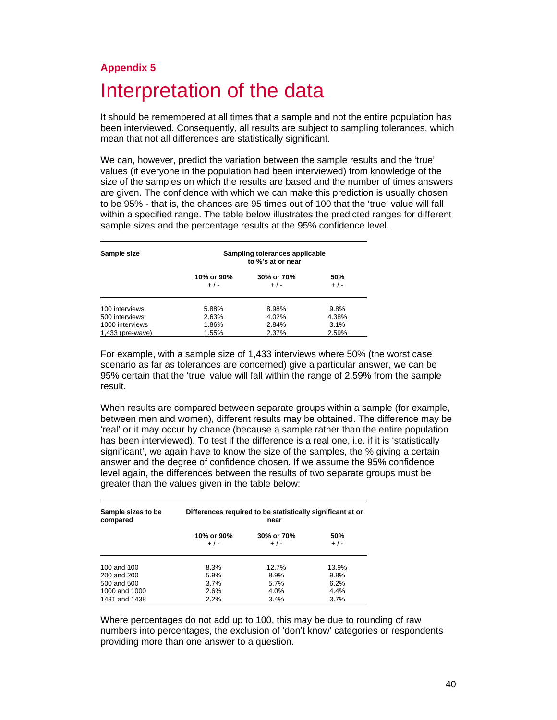# **Appendix 5**  Interpretation of the data

It should be remembered at all times that a sample and not the entire population has been interviewed. Consequently, all results are subject to sampling tolerances, which mean that not all differences are statistically significant.

We can, however, predict the variation between the sample results and the 'true' values (if everyone in the population had been interviewed) from knowledge of the size of the samples on which the results are based and the number of times answers are given. The confidence with which we can make this prediction is usually chosen to be 95% - that is, the chances are 95 times out of 100 that the 'true' value will fall within a specified range. The table below illustrates the predicted ranges for different sample sizes and the percentage results at the 95% confidence level.

| Sample size      |                     | Sampling tolerances applicable<br>to %'s at or near |              |
|------------------|---------------------|-----------------------------------------------------|--------------|
|                  | 10% or 90%<br>$+/-$ | 30% or 70%<br>$+/-$                                 | 50%<br>$+/-$ |
| 100 interviews   | 5.88%               | 8.98%                                               | 9.8%         |
| 500 interviews   | 2.63%               | 4.02%                                               | 4.38%        |
| 1000 interviews  | 1.86%               | 2.84%                                               | 3.1%         |
| 1,433 (pre-wave) | 1.55%               | 2.37%                                               | 2.59%        |

For example, with a sample size of 1,433 interviews where 50% (the worst case scenario as far as tolerances are concerned) give a particular answer, we can be 95% certain that the 'true' value will fall within the range of 2.59% from the sample result.

When results are compared between separate groups within a sample (for example, between men and women), different results may be obtained. The difference may be 'real' or it may occur by chance (because a sample rather than the entire population has been interviewed). To test if the difference is a real one, i.e. if it is 'statistically significant', we again have to know the size of the samples, the % giving a certain answer and the degree of confidence chosen. If we assume the 95% confidence level again, the differences between the results of two separate groups must be greater than the values given in the table below:

| Sample sizes to be<br>compared | Differences required to be statistically significant at or |                       |                |
|--------------------------------|------------------------------------------------------------|-----------------------|----------------|
|                                | 10% or 90%<br>$+/-$                                        | 30% or 70%<br>$+$ / - | 50%<br>$+$ / - |
| 100 and 100                    | 8.3%                                                       | 12.7%                 | 13.9%          |
| 200 and 200                    | 5.9%                                                       | 8.9%                  | 9.8%           |
| 500 and 500                    | 3.7%                                                       | 5.7%                  | 6.2%           |
| 1000 and 1000                  | 2.6%                                                       | 4.0%                  | 4.4%           |
| 1431 and 1438                  | 2.2%                                                       | 3.4%                  | 3.7%           |

Where percentages do not add up to 100, this may be due to rounding of raw numbers into percentages, the exclusion of 'don't know' categories or respondents providing more than one answer to a question.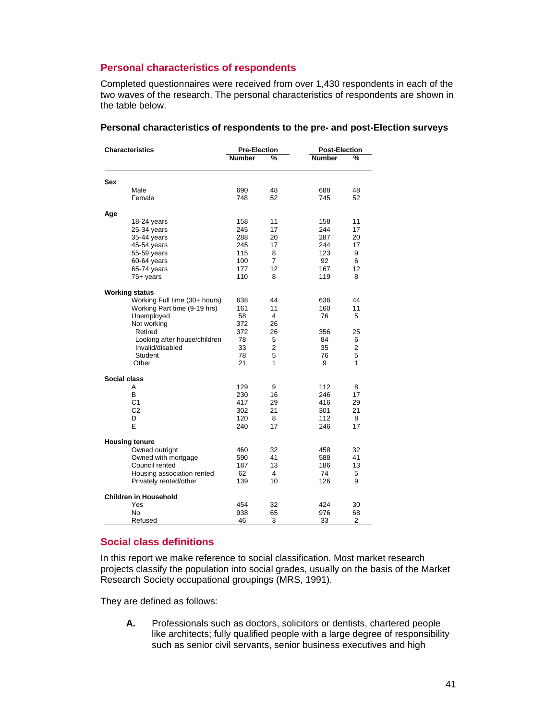## **Personal characteristics of respondents**

Completed questionnaires were received from over 1,430 respondents in each of the two waves of the research. The personal characteristics of respondents are shown in the table below.

| <b>Characteristics</b>        | <b>Pre-Election</b> |                | <b>Post-Election</b> |                |
|-------------------------------|---------------------|----------------|----------------------|----------------|
|                               | <b>Number</b>       | %              | <b>Number</b>        | %              |
| Sex                           |                     |                |                      |                |
| Male                          | 690                 | 48             | 688                  | 48             |
| Female                        | 748                 | 52             | 745                  | 52             |
| Age                           |                     |                |                      |                |
| 18-24 years                   | 158                 | 11             | 158                  | 11             |
| 25-34 years                   | 245                 | 17             | 244                  | 17             |
| 35-44 years                   | 288                 | 20             | 287                  | 20             |
| 45-54 years                   | 245                 | 17             | 244                  | 17             |
| 55-59 years                   | 115                 | 8              | 123                  | 9              |
| 60-64 years                   | 100                 | 7              | 92                   | 6              |
| 65-74 years                   | 177                 | 12             | 167                  | 12             |
| $75+$ years                   | 110                 | 8              | 119                  | 8              |
| <b>Working status</b>         |                     |                |                      |                |
| Working Full time (30+ hours) | 638                 | 44             | 636                  | 44             |
| Working Part time (9-19 hrs)  | 161                 | 11             | 160                  | 11             |
| Unemployed                    | 58                  | 4              | 76                   | 5              |
| Not working                   | 372                 | 26             |                      |                |
| Retired                       | 372                 | 26             | 356                  | 25             |
| Looking after house/children  | 78                  | 5              | 84                   | 6              |
| Invalid/disabled              | 33                  | $\overline{2}$ | 35                   | $\overline{2}$ |
| Student                       | 78                  | 5              | 76                   | 5              |
| Other                         | 21                  | 1              | 9                    | 1              |
| Social class                  |                     |                |                      |                |
| Α                             | 129                 | 9              | 112                  | 8              |
| В                             | 230                 | 16             | 246                  | 17             |
| C <sub>1</sub>                | 417                 | 29             | 416                  | 29             |
| C <sub>2</sub>                | 302                 | 21             | 301                  | 21             |
| D                             | 120                 | 8              | 112                  | 8              |
| E                             | 240                 | 17             | 246                  | 17             |
| <b>Housing tenure</b>         |                     |                |                      |                |
| Owned outright                | 460                 | 32             | 458                  | 32             |
| Owned with mortgage           | 590                 | 41             | 588                  | 41             |
| Council rented                | 187                 | 13             | 186                  | 13             |
| Housing association rented    | 62                  | 4              | 74                   | 5              |
| Privately rented/other        | 139                 | 10             | 126                  | 9              |
| <b>Children in Household</b>  |                     |                |                      |                |
| Yes                           | 454                 | 32             | 424                  | 30             |
| <b>No</b>                     | 938                 | 65             | 976                  | 68             |
| Refused                       | 46                  | 3              | 33                   | 2              |

#### **Personal characteristics of respondents to the pre- and post-Election surveys**

## **Social class definitions**

In this report we make reference to social classification. Most market research projects classify the population into social grades, usually on the basis of the Market Research Society occupational groupings (MRS, 1991).

They are defined as follows:

**A.** Professionals such as doctors, solicitors or dentists, chartered people like architects; fully qualified people with a large degree of responsibility such as senior civil servants, senior business executives and high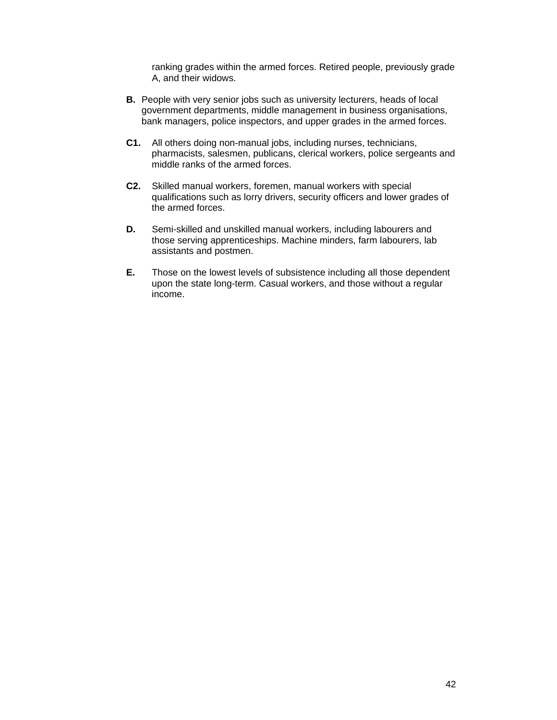ranking grades within the armed forces. Retired people, previously grade A, and their widows.

- **B.** People with very senior jobs such as university lecturers, heads of local government departments, middle management in business organisations, bank managers, police inspectors, and upper grades in the armed forces.
- **C1.** All others doing non-manual jobs, including nurses, technicians, pharmacists, salesmen, publicans, clerical workers, police sergeants and middle ranks of the armed forces.
- **C2.** Skilled manual workers, foremen, manual workers with special qualifications such as lorry drivers, security officers and lower grades of the armed forces.
- **D.** Semi-skilled and unskilled manual workers, including labourers and those serving apprenticeships. Machine minders, farm labourers, lab assistants and postmen.
- **E.** Those on the lowest levels of subsistence including all those dependent upon the state long-term. Casual workers, and those without a regular income.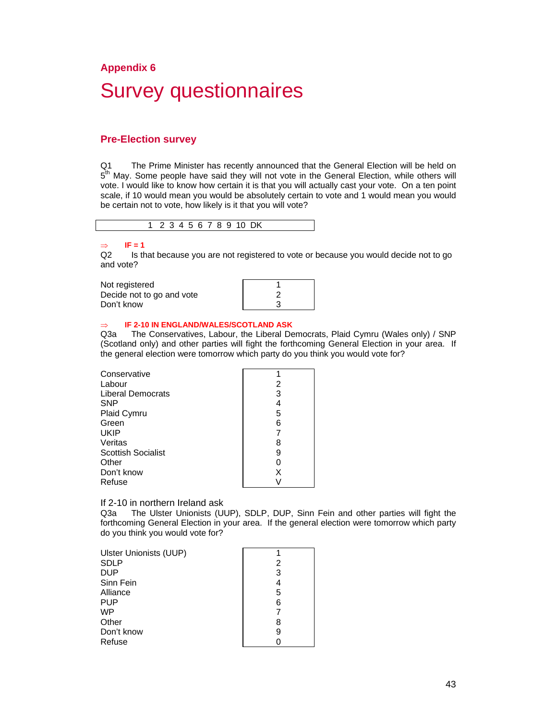# **Appendix 6**  Survey questionnaires

#### **Pre-Election survey**

Q1 The Prime Minister has recently announced that the General Election will be held on 5<sup>th</sup> May. Some people have said they will not vote in the General Election, while others will vote. I would like to know how certain it is that you will actually cast your vote. On a ten point scale, if 10 would mean you would be absolutely certain to vote and 1 would mean you would be certain not to vote, how likely is it that you will vote?

|  |  |  |  | 3 4 5 6 7 8 9 10 DK |
|--|--|--|--|---------------------|

# ⇒ **IF = 1**

Is that because you are not registered to vote or because you would decide not to go and vote?

| Not registered            |  |
|---------------------------|--|
| Decide not to go and vote |  |
| Don't know                |  |

#### **IF 2-10 IN ENGLAND/WALES/SCOTLAND ASK**

Q3a The Conservatives, Labour, the Liberal Democrats, Plaid Cymru (Wales only) / SNP (Scotland only) and other parties will fight the forthcoming General Election in your area. If the general election were tomorrow which party do you think you would vote for?

| Conservative              |   |
|---------------------------|---|
| Labour                    | 2 |
| Liberal Democrats         | 3 |
| <b>SNP</b>                |   |
| <b>Plaid Cymru</b>        | 5 |
| Green                     | 6 |
| <b>UKIP</b>               |   |
| Veritas                   | 8 |
| <b>Scottish Socialist</b> | 9 |
| Other                     |   |
| Don't know                | x |
| Refuse                    |   |
|                           |   |

#### If 2-10 in northern Ireland ask

Q3a The Ulster Unionists (UUP), SDLP, DUP, Sinn Fein and other parties will fight the forthcoming General Election in your area. If the general election were tomorrow which party do you think you would vote for?

| Ulster Unionists (UUP) |   |
|------------------------|---|
| <b>SDLP</b>            | 2 |
| <b>DUP</b>             | 3 |
| Sinn Fein              | 4 |
| Alliance               | 5 |
| <b>PUP</b>             | 6 |
| <b>WP</b>              |   |
| Other                  | 8 |
| Don't know             | 9 |
| Refuse                 |   |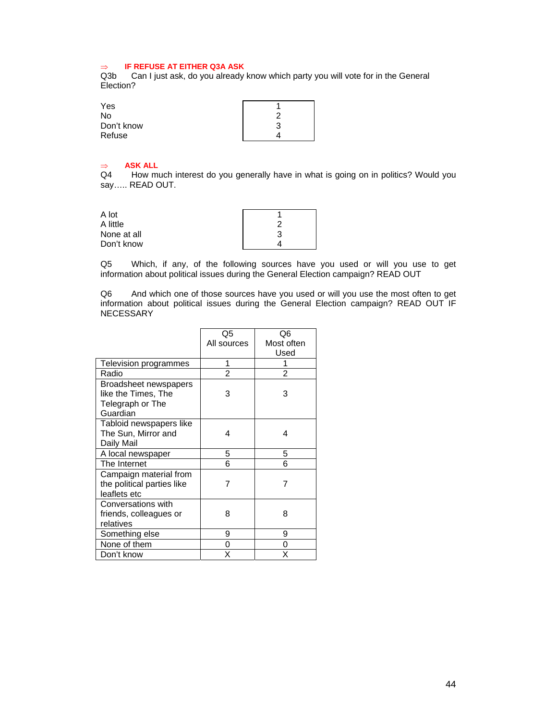#### ⇒ **IF REFUSE AT EITHER Q3A ASK**

Q3b Can I just ask, do you already know which party you will vote for in the General Election?

| Yes        |  |
|------------|--|
| No         |  |
| Don't know |  |
| Refuse     |  |

# ⇒ **ASK ALL**

How much interest do you generally have in what is going on in politics? Would you say….. READ OUT.

| A lot       |   |
|-------------|---|
| A little    | ົ |
| None at all | 3 |
| Don't know  |   |

Q5 Which, if any, of the following sources have you used or will you use to get information about political issues during the General Election campaign? READ OUT

Q6 And which one of those sources have you used or will you use the most often to get information about political issues during the General Election campaign? READ OUT IF NECESSARY

|                            | Q5             | Q6         |
|----------------------------|----------------|------------|
|                            | All sources    | Most often |
|                            |                | Used       |
| Television programmes      | 1              |            |
| Radio                      | $\mathfrak{p}$ | 2          |
| Broadsheet newspapers      |                |            |
| like the Times, The        | 3              | 3          |
| Telegraph or The           |                |            |
| Guardian                   |                |            |
| Tabloid newspapers like    |                |            |
| The Sun, Mirror and        | 4              | 4          |
| Daily Mail                 |                |            |
| A local newspaper          | 5              | 5          |
| The Internet               | 6              | 6          |
| Campaign material from     |                |            |
| the political parties like | 7              | 7          |
| leaflets etc               |                |            |
| Conversations with         |                |            |
| friends, colleagues or     | 8              | 8          |
| relatives                  |                |            |
| Something else             | 9              | 9          |
| None of them               | 0              | 0          |
| Don't know                 | Χ              | x          |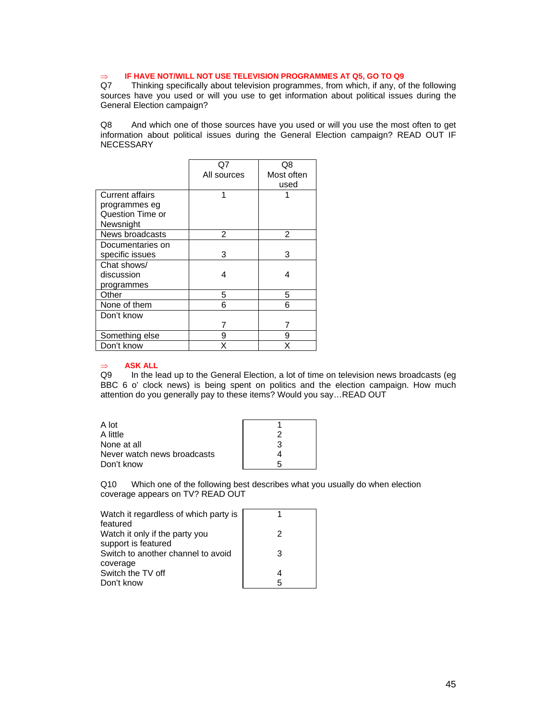# ⇒ **IF HAVE NOT/WILL NOT USE TELEVISION PROGRAMMES AT Q5, GO TO Q9**

Thinking specifically about television programmes, from which, if any, of the following sources have you used or will you use to get information about political issues during the General Election campaign?

Q8 And which one of those sources have you used or will you use the most often to get information about political issues during the General Election campaign? READ OUT IF NECESSARY

|                        |             | Q8         |
|------------------------|-------------|------------|
|                        | All sources | Most often |
|                        |             | used       |
| <b>Current affairs</b> |             |            |
| programmes eg          |             |            |
| Question Time or       |             |            |
| Newsnight              |             |            |
| News broadcasts        | 2           | 2          |
| Documentaries on       |             |            |
| specific issues        | 3           | 3          |
| Chat shows/            |             |            |
| discussion             | 4           | 4          |
| programmes             |             |            |
| Other                  | 5           | 5          |
| None of them           | 6           | 6          |
| Don't know             |             |            |
|                        |             |            |
| Something else         | 9           | 9          |
| Don't know             | x           | x          |

#### ⇒ **ASK ALL**

Q9 In the lead up to the General Election, a lot of time on television news broadcasts (eg BBC 6 o' clock news) is being spent on politics and the election campaign. How much attention do you generally pay to these items? Would you say…READ OUT

| A lot                       |  |
|-----------------------------|--|
| A little                    |  |
| None at all                 |  |
| Never watch news broadcasts |  |
| Don't know                  |  |

Q10 Which one of the following best describes what you usually do when election coverage appears on TV? READ OUT

| Watch it regardless of which party is |   |
|---------------------------------------|---|
| featured                              |   |
| Watch it only if the party you        | 2 |
| support is featured                   |   |
| Switch to another channel to avoid    | З |
| coverage                              |   |
| Switch the TV off                     |   |
| Don't know                            | 5 |
|                                       |   |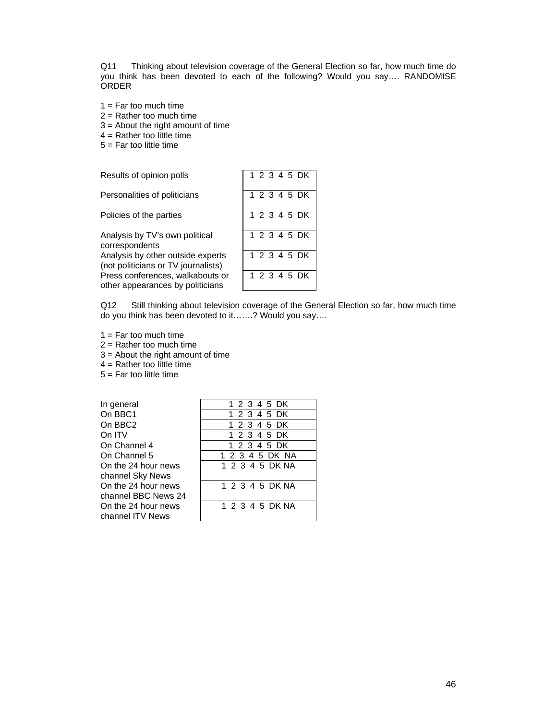Q11 Thinking about television coverage of the General Election so far, how much time do you think has been devoted to each of the following? Would you say…. RANDOMISE ORDER

- $1 = \text{Far too much time}$
- $2 =$  Rather too much time
- 3 = About the right amount of time
- $4 =$  Rather too little time
- $5 =$  Far too little time

| Results of opinion polls                                                 | 1 2 3 4 5 DK |
|--------------------------------------------------------------------------|--------------|
| Personalities of politicians                                             | 1 2 3 4 5 DK |
| Policies of the parties                                                  | 1 2 3 4 5 DK |
| Analysis by TV's own political<br>correspondents                         | 1 2 3 4 5 DK |
| Analysis by other outside experts<br>(not politicians or TV journalists) | 1 2 3 4 5 DK |
| Press conferences, walkabouts or<br>other appearances by politicians     | 1 2 3 4 5 DK |

Q12 Still thinking about television coverage of the General Election so far, how much time do you think has been devoted to it…….? Would you say….

 $1 = \text{Far too much time}$ 

 $2 =$  Rather too much time

3 = About the right amount of time

 $4 =$  Rather too little time

 $5 =$  Far too little time

In general On BBC1 On BBC<sub>2</sub> On ITV On Channel 4 On Channel 5 On the 24 hour news channel Sky News On the 24 hour news channel BBC News 24 On the 24 hour news channel ITV News

|  | 1 2 3 4 5 DK |  |  |                 |  |
|--|--------------|--|--|-----------------|--|
|  | 1 2 3 4 5 DK |  |  |                 |  |
|  | 1 2 3 4 5 DK |  |  |                 |  |
|  | 1 2 3 4 5 DK |  |  |                 |  |
|  | 1 2 3 4 5 DK |  |  |                 |  |
|  |              |  |  | 1 2 3 4 5 DK NA |  |
|  |              |  |  | 1 2 3 4 5 DK NA |  |
|  |              |  |  | 1 2 3 4 5 DK NA |  |
|  |              |  |  | 1 2 3 4 5 DK NA |  |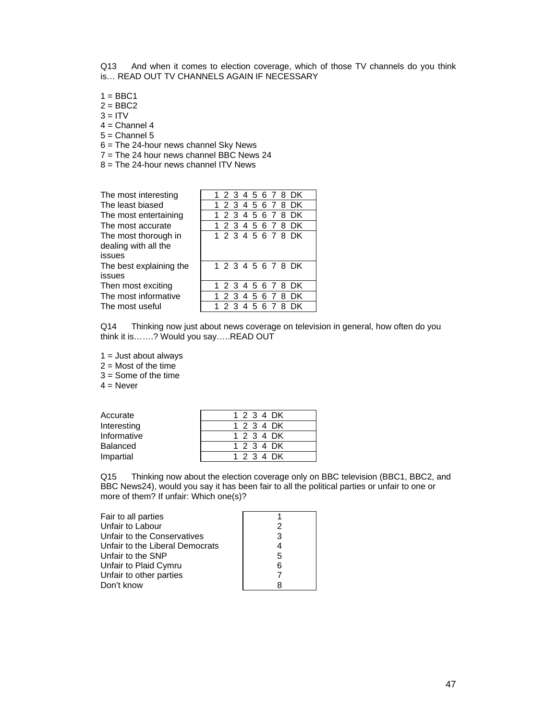Q13 And when it comes to election coverage, which of those TV channels do you think is… READ OUT TV CHANNELS AGAIN IF NECESSARY

- $1 = BBC1$
- $2 = BBC2$
- $3 = ITV$
- $4$  = Channel 4
- $5 =$ Channel  $5$
- 6 = The 24-hour news channel Sky News
- $7 =$ The 24 hour news channel BBC News 24
- $8 =$  The 24-hour news channel ITV News

| The most interesting    |  |
|-------------------------|--|
| The least biased        |  |
| The most entertaining   |  |
| The most accurate       |  |
| The most thorough in    |  |
| dealing with all the    |  |
| issues                  |  |
| The best explaining the |  |
| issues                  |  |
| Then most exciting      |  |
| The most informative    |  |
| The most useful         |  |

| The most interesting                                   |  |  |  |  | 1 2 3 4 5 6 7 8 DK |  |
|--------------------------------------------------------|--|--|--|--|--------------------|--|
| The least biased                                       |  |  |  |  | 1 2 3 4 5 6 7 8 DK |  |
| The most entertaining                                  |  |  |  |  | 1 2 3 4 5 6 7 8 DK |  |
| The most accurate                                      |  |  |  |  | 1 2 3 4 5 6 7 8 DK |  |
| The most thorough in<br>dealing with all the<br>issues |  |  |  |  | 1 2 3 4 5 6 7 8 DK |  |
| The best explaining the<br>issues                      |  |  |  |  | 1 2 3 4 5 6 7 8 DK |  |
| Then most exciting                                     |  |  |  |  | 1 2 3 4 5 6 7 8 DK |  |
| The most informative                                   |  |  |  |  | 1 2 3 4 5 6 7 8 DK |  |
| The most useful                                        |  |  |  |  | 1 2 3 4 5 6 7 8 DK |  |

Q14 Thinking now just about news coverage on television in general, how often do you think it is…….? Would you say…..READ OUT

 $1 =$  Just about always

 $2 =$  Most of the time

 $3 =$  Some of the time

 $4 =$  Never

| Accurate        | 1 2 3 4 DK |
|-----------------|------------|
| Interesting     | 1 2 3 4 DK |
| Informative     | 1 2 3 4 DK |
| <b>Balanced</b> | 1 2 3 4 DK |
| Impartial       | 1 2 3 4 DK |

Q15 Thinking now about the election coverage only on BBC television (BBC1, BBC2, and BBC News24), would you say it has been fair to all the political parties or unfair to one or more of them? If unfair: Which one(s)?

| Fair to all parties             |   |
|---------------------------------|---|
| Unfair to Labour                | 2 |
| Unfair to the Conservatives     | 3 |
| Unfair to the Liberal Democrats |   |
| Unfair to the SNP               | 5 |
| Unfair to Plaid Cymru           | 6 |
| Unfair to other parties         |   |
| Don't know                      |   |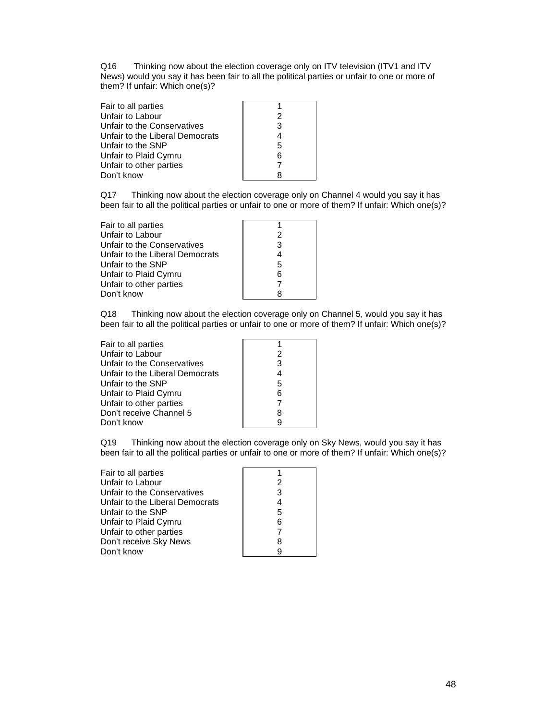Q16 Thinking now about the election coverage only on ITV television (ITV1 and ITV News) would you say it has been fair to all the political parties or unfair to one or more of them? If unfair: Which one(s)?

| Fair to all parties             |   |
|---------------------------------|---|
| Unfair to Labour                | 2 |
| Unfair to the Conservatives     | 3 |
| Unfair to the Liberal Democrats | 4 |
| Unfair to the SNP               | 5 |
| Unfair to Plaid Cymru           | 6 |
| Unfair to other parties         |   |
| Don't know                      |   |

Q17 Thinking now about the election coverage only on Channel 4 would you say it has been fair to all the political parties or unfair to one or more of them? If unfair: Which one(s)?

| Fair to all parties             |   |
|---------------------------------|---|
| Unfair to Labour                | 2 |
| Unfair to the Conservatives     | 3 |
| Unfair to the Liberal Democrats |   |
| Unfair to the SNP               | 5 |
| Unfair to Plaid Cymru           | 6 |
| Unfair to other parties         |   |
| Don't know                      |   |

Q18 Thinking now about the election coverage only on Channel 5, would you say it has been fair to all the political parties or unfair to one or more of them? If unfair: Which one(s)?

| Fair to all parties             |   |
|---------------------------------|---|
| Unfair to Labour                | 2 |
| Unfair to the Conservatives     | 3 |
| Unfair to the Liberal Democrats | 4 |
| Unfair to the SNP               | 5 |
| Unfair to Plaid Cymru           | 6 |
| Unfair to other parties         | 7 |
| Don't receive Channel 5         | 8 |
| Don't know                      | g |

Q19 Thinking now about the election coverage only on Sky News, would you say it has been fair to all the political parties or unfair to one or more of them? If unfair: Which one(s)?

| Fair to all parties             |   |
|---------------------------------|---|
| Unfair to Labour                | 2 |
| Unfair to the Conservatives     | 3 |
| Unfair to the Liberal Democrats | 4 |
| Unfair to the SNP               | 5 |
| Unfair to Plaid Cymru           | 6 |
| Unfair to other parties         |   |
| Don't receive Sky News          | 8 |
| Don't know                      | q |
|                                 |   |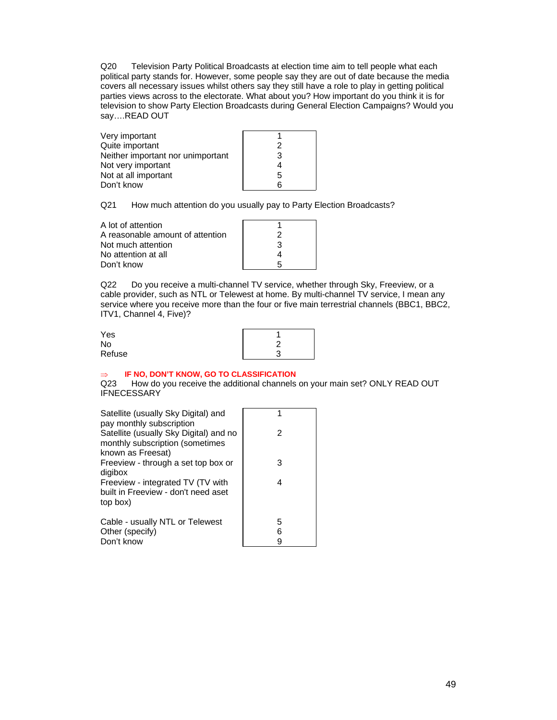Q20 Television Party Political Broadcasts at election time aim to tell people what each political party stands for. However, some people say they are out of date because the media covers all necessary issues whilst others say they still have a role to play in getting political parties views across to the electorate. What about you? How important do you think it is for television to show Party Election Broadcasts during General Election Campaigns? Would you say….READ OUT

| Very important                    |   |
|-----------------------------------|---|
| Quite important                   | 2 |
| Neither important nor unimportant | 3 |
| Not very important                |   |
| Not at all important              | 5 |
| Don't know                        | հ |
|                                   |   |

Q21 How much attention do you usually pay to Party Election Broadcasts?

| A lot of attention               |   |
|----------------------------------|---|
| A reasonable amount of attention |   |
| Not much attention               | З |
| No attention at all              |   |
| Don't know                       | h |

Q22 Do you receive a multi-channel TV service, whether through Sky, Freeview, or a cable provider, such as NTL or Telewest at home. By multi-channel TV service, I mean any service where you receive more than the four or five main terrestrial channels (BBC1, BBC2, ITV1, Channel 4, Five)?

| Yes    |   |
|--------|---|
| No     |   |
| Refuse | ╭ |

#### **IF NO, DON'T KNOW, GO TO CLASSIFICATION**

Q23 How do you receive the additional channels on your main set? ONLY READ OUT **IFNECESSARY** 

| Satellite (usually Sky Digital) and<br>pay monthly subscription                                |        |
|------------------------------------------------------------------------------------------------|--------|
| Satellite (usually Sky Digital) and no<br>monthly subscription (sometimes<br>known as Freesat) | 2      |
| Freeview - through a set top box or<br>digibox                                                 | 3      |
| Freeview - integrated TV (TV with<br>built in Freeview - don't need aset<br>top box)           | 4      |
| Cable - usually NTL or Telewest<br>Other (specify)                                             | 5<br>6 |
| Don't know                                                                                     | 9      |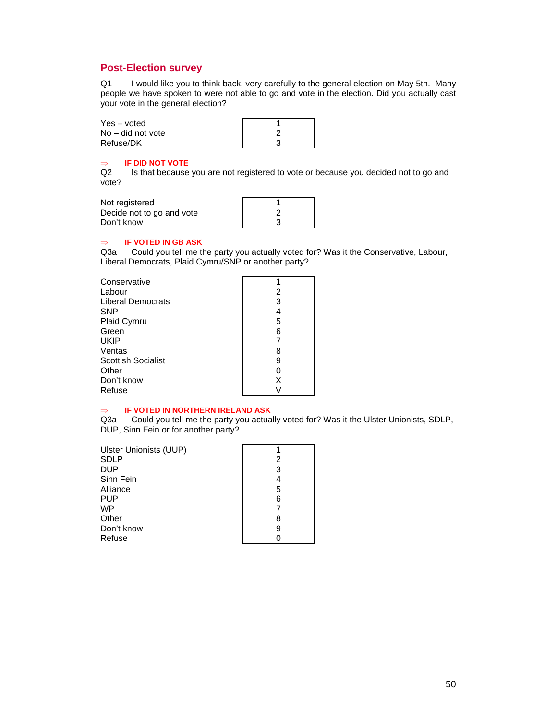#### **Post-Election survey**

Q1 I would like you to think back, very carefully to the general election on May 5th. Many people we have spoken to were not able to go and vote in the election. Did you actually cast your vote in the general election?

| Yes – voted       |  |
|-------------------|--|
| No – did not vote |  |
| Refuse/DK         |  |

#### ⇒ **IF DID NOT VOTE**

Q2 Is that because you are not registered to vote or because you decided not to go and vote?

Not registered Decide not to go and vote Don't know

| 2 |  |
|---|--|
| 3 |  |
|   |  |

#### ⇒ **IF VOTED IN GB ASK**

Q3a Could you tell me the party you actually voted for? Was it the Conservative, Labour, Liberal Democrats, Plaid Cymru/SNP or another party?

| Conservative       |   |
|--------------------|---|
| Labour             | 2 |
| Liberal Democrats  | 3 |
| SNP                |   |
| Plaid Cymru        | 5 |
| Green              | 6 |
| UKIP               |   |
| Veritas            |   |
| Scottish Socialist |   |
| Other              |   |
| Don't know         | х |
| Refuse             |   |
|                    |   |

#### ⇒ **IF VOTED IN NORTHERN IRELAND ASK**

Q3a Could you tell me the party you actually voted for? Was it the Ulster Unionists, SDLP, DUP, Sinn Fein or for another party?

| Ulster Unionists (UUP) |   |
|------------------------|---|
| SDLP                   | 2 |
| DUP                    | 3 |
| Sinn Fein              |   |
| Alliance               | 5 |
| PUP                    | 6 |
| WP                     |   |
| Other                  | 8 |
| Don't know             | 9 |
| Refuse                 |   |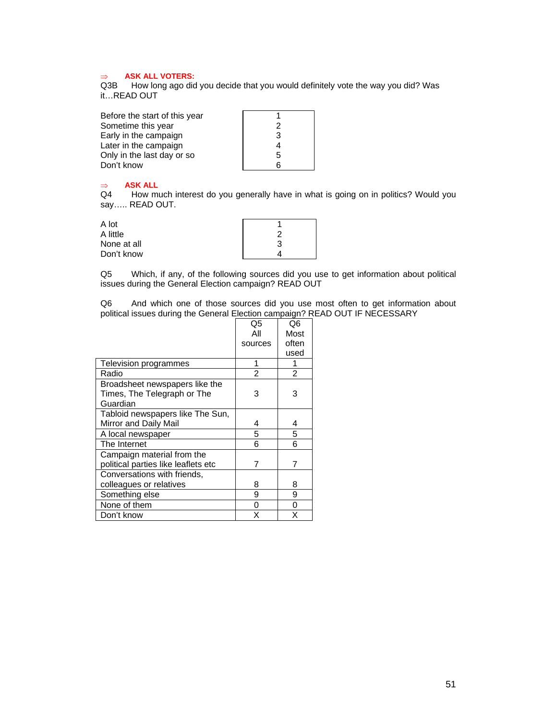#### ⇒ **ASK ALL VOTERS:**

Q3B How long ago did you decide that you would definitely vote the way you did? Was it…READ OUT

| Before the start of this year |   |
|-------------------------------|---|
| Sometime this year            | 2 |
| Early in the campaign         | 3 |
| Later in the campaign         |   |
| Only in the last day or so    | 5 |
| Don't know                    |   |

# ⇒ **ASK ALL**

How much interest do you generally have in what is going on in politics? Would you say….. READ OUT.

| A lot       |   |
|-------------|---|
| A little    |   |
| None at all | 3 |
| Don't know  |   |

Q5 Which, if any, of the following sources did you use to get information about political issues during the General Election campaign? READ OUT

Q6 And which one of those sources did you use most often to get information about political issues during the General Election campaign? READ OUT IF NECESSARY

|                                     | Q5             | Q6             |
|-------------------------------------|----------------|----------------|
|                                     | Αll            | Most           |
|                                     | sources        | often          |
|                                     |                | used           |
| Television programmes               |                | 1              |
| Radio                               | $\mathfrak{p}$ | $\overline{2}$ |
| Broadsheet newspapers like the      |                |                |
| Times, The Telegraph or The         | 3              | 3              |
| Guardian                            |                |                |
| Tabloid newspapers like The Sun,    |                |                |
| Mirror and Daily Mail               | 4              | 4              |
| A local newspaper                   | 5              | 5              |
| The Internet                        | 6              | 6              |
| Campaign material from the          |                |                |
| political parties like leaflets etc |                | 7              |
| Conversations with friends,         |                |                |
| colleagues or relatives             | 8              | 8              |
| Something else                      | 9              | 9              |
| None of them                        | 0              | 0              |
| Don't know                          | x              | x              |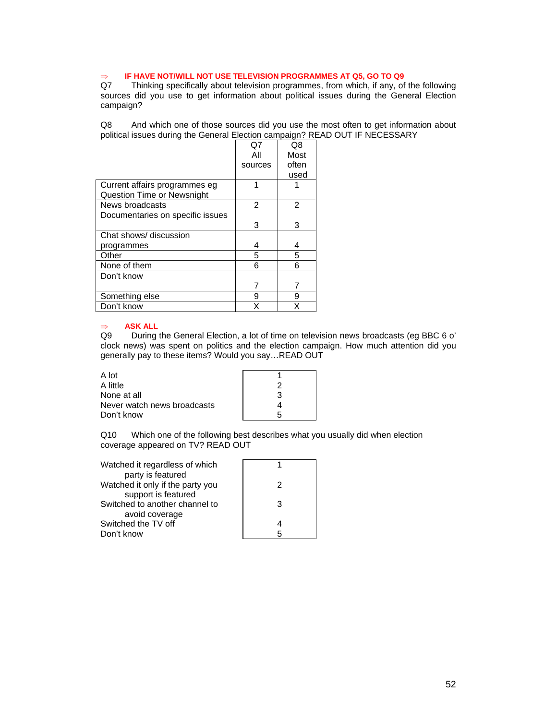# ⇒ **IF HAVE NOT/WILL NOT USE TELEVISION PROGRAMMES AT Q5, GO TO Q9**

Thinking specifically about television programmes, from which, if any, of the following sources did you use to get information about political issues during the General Election campaign?

Q8 And which one of those sources did you use the most often to get information about political issues during the General Election campaign? READ OUT IF NECESSARY

|                                   | Q7             | Q8    |
|-----------------------------------|----------------|-------|
|                                   | All            | Most  |
|                                   | sources        | often |
|                                   |                | used  |
| Current affairs programmes eg     | 1              |       |
| <b>Question Time or Newsnight</b> |                |       |
| News broadcasts                   | $\mathfrak{p}$ | 2     |
| Documentaries on specific issues  |                |       |
|                                   | 3              | 3     |
| Chat shows/ discussion            |                |       |
| programmes                        | 4              | 4     |
| Other                             | 5              | 5     |
| None of them                      | 6              | 6     |
| Don't know                        |                |       |
|                                   |                |       |
| Something else                    | 9              | 9     |
| Don't know                        | x              | x     |

#### ⇒ **ASK ALL**

Q9 During the General Election, a lot of time on television news broadcasts (eg BBC 6 o' clock news) was spent on politics and the election campaign. How much attention did you generally pay to these items? Would you say…READ OUT

| A lot                       |   |
|-----------------------------|---|
| A little                    |   |
| None at all                 | З |
| Never watch news broadcasts |   |
| Don't know                  | h |

Q10 Which one of the following best describes what you usually did when election coverage appeared on TV? READ OUT

| Watched it regardless of which   |   |
|----------------------------------|---|
| party is featured                |   |
| Watched it only if the party you | 2 |
| support is featured              |   |
| Switched to another channel to   | З |
| avoid coverage                   |   |
| Switched the TV off              |   |
| Don't know                       | 5 |
|                                  |   |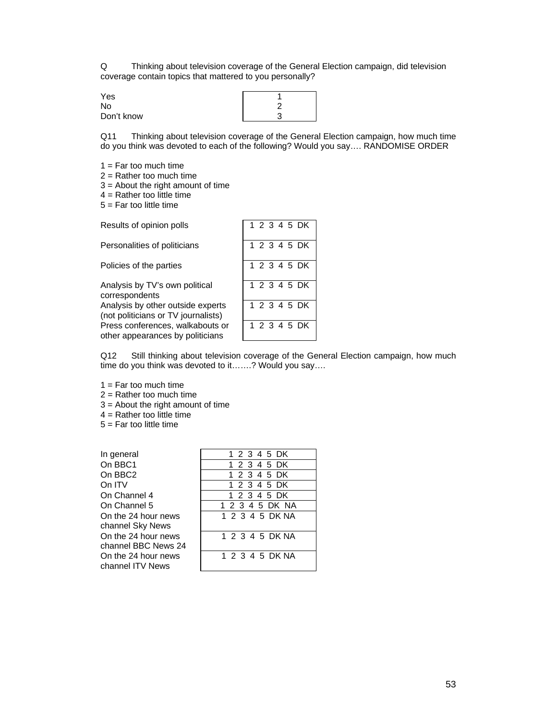Q Thinking about television coverage of the General Election campaign, did television coverage contain topics that mattered to you personally?

| Yes        |  |
|------------|--|
| No         |  |
| Don't know |  |

Q11 Thinking about television coverage of the General Election campaign, how much time do you think was devoted to each of the following? Would you say…. RANDOMISE ORDER

- $1 = \text{Far too much time}$
- $2 =$ Rather too much time
- 3 = About the right amount of time
- $4$  = Rather too little time
- $5 =$  Far too little time

| Results of opinion polls                                                 | 1 2 3 4 5 DK |
|--------------------------------------------------------------------------|--------------|
| Personalities of politicians                                             | 1 2 3 4 5 DK |
| Policies of the parties                                                  | 1 2 3 4 5 DK |
| Analysis by TV's own political<br>correspondents                         | 1 2 3 4 5 DK |
| Analysis by other outside experts<br>(not politicians or TV journalists) | 1 2 3 4 5 DK |
| Press conferences, walkabouts or<br>other appearances by politicians     | 1 2 3 4 5 DK |

Q12 Still thinking about television coverage of the General Election campaign, how much time do you think was devoted to it…….? Would you say….

- $1 = Far$  too much time
- 2 = Rather too much time
- 3 = About the right amount of time
- $4$  = Rather too little time
- 5 = Far too little time

| In general          | 1 2 3 4 5 DK    |
|---------------------|-----------------|
| On BBC1             | 1 2 3 4 5 DK    |
| On BBC <sub>2</sub> | 1 2 3 4 5 DK    |
| On ITV              | 1 2 3 4 5 DK    |
| On Channel 4        | 1 2 3 4 5 DK    |
| On Channel 5        | 1 2 3 4 5 DK NA |
| On the 24 hour news | 1 2 3 4 5 DK NA |
| channel Sky News    |                 |
| On the 24 hour news | 1 2 3 4 5 DK NA |
| channel BBC News 24 |                 |
| On the 24 hour news | 1 2 3 4 5 DK NA |
| channel ITV News    |                 |
|                     |                 |

|  | 1 2 3 4 5 DK |  |  |                 |  |
|--|--------------|--|--|-----------------|--|
|  | 1 2 3 4 5 DK |  |  |                 |  |
|  | 1 2 3 4 5 DK |  |  |                 |  |
|  | 1 2 3 4 5 DK |  |  |                 |  |
|  | 1 2 3 4 5 DK |  |  |                 |  |
|  |              |  |  | 1 2 3 4 5 DK NA |  |
|  |              |  |  | 1 2 3 4 5 DK NA |  |
|  |              |  |  | 1 2 3 4 5 DK NA |  |
|  |              |  |  | 1 2 3 4 5 DK NA |  |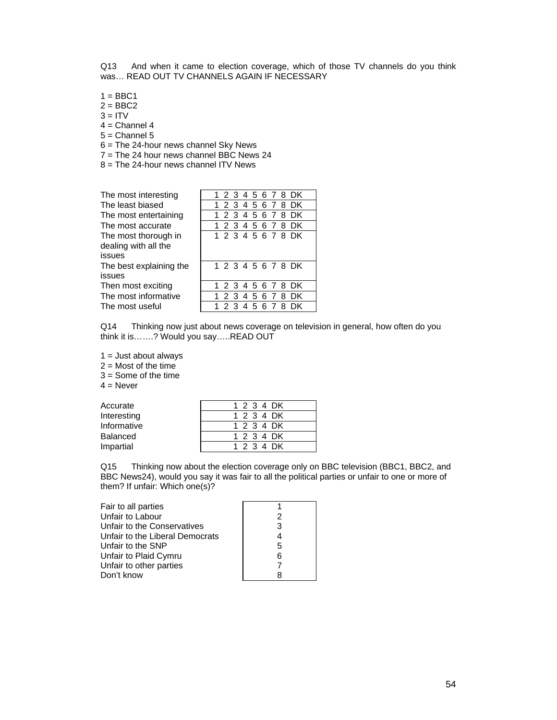Q13 And when it came to election coverage, which of those TV channels do you think was… READ OUT TV CHANNELS AGAIN IF NECESSARY

- $1 = BBC1$
- $2 = BBC2$
- $3 = ITV$
- $4$  = Channel 4
- $5 =$ Channel  $5$
- 6 = The 24-hour news channel Sky News
- $7 =$ The 24 hour news channel BBC News 24
- 8 = The 24-hour news channel ITV News

| The most interesting    |  |
|-------------------------|--|
| The least biased        |  |
| The most entertaining   |  |
| The most accurate       |  |
| The most thorough in    |  |
| dealing with all the    |  |
| issues                  |  |
| The best explaining the |  |
| issues                  |  |
| Then most exciting      |  |
| The most informative    |  |
| The most useful         |  |

| The most interesting                                   |       |  |  |  | 1 2 3 4 5 6 7 8 DK |  |
|--------------------------------------------------------|-------|--|--|--|--------------------|--|
| The least biased                                       |       |  |  |  | 1 2 3 4 5 6 7 8 DK |  |
| The most entertaining                                  |       |  |  |  | 1 2 3 4 5 6 7 8 DK |  |
| The most accurate                                      |       |  |  |  | 1 2 3 4 5 6 7 8 DK |  |
| The most thorough in<br>dealing with all the<br>issues |       |  |  |  | 1 2 3 4 5 6 7 8 DK |  |
| The best explaining the<br>issues                      |       |  |  |  | 1 2 3 4 5 6 7 8 DK |  |
| Then most exciting                                     |       |  |  |  | 1 2 3 4 5 6 7 8 DK |  |
| The most informative                                   |       |  |  |  | 1 2 3 4 5 6 7 8 DK |  |
| The most useful                                        | 1 2 3 |  |  |  | 4 5 6 7 8 DK       |  |

Q14 Thinking now just about news coverage on television in general, how often do you think it is…….? Would you say…..READ OUT

 $1 =$  Just about always

 $2 =$  Most of the time

 $3 =$  Some of the time

 $4 =$  Never

| Accurate    | 1 2 3 4 DK |
|-------------|------------|
| Interesting | 1 2 3 4 DK |
| Informative | 1 2 3 4 DK |
| Balanced    | 1 2 3 4 DK |
| Impartial   | 1 2 3 4 DK |

Q15 Thinking now about the election coverage only on BBC television (BBC1, BBC2, and BBC News24), would you say it was fair to all the political parties or unfair to one or more of them? If unfair: Which one(s)?

| Fair to all parties             |   |
|---------------------------------|---|
| Unfair to Labour                | 2 |
| Unfair to the Conservatives     | 3 |
| Unfair to the Liberal Democrats | 4 |
| Unfair to the SNP               | 5 |
| Unfair to Plaid Cymru           | 6 |
| Unfair to other parties         |   |
| Don't know                      |   |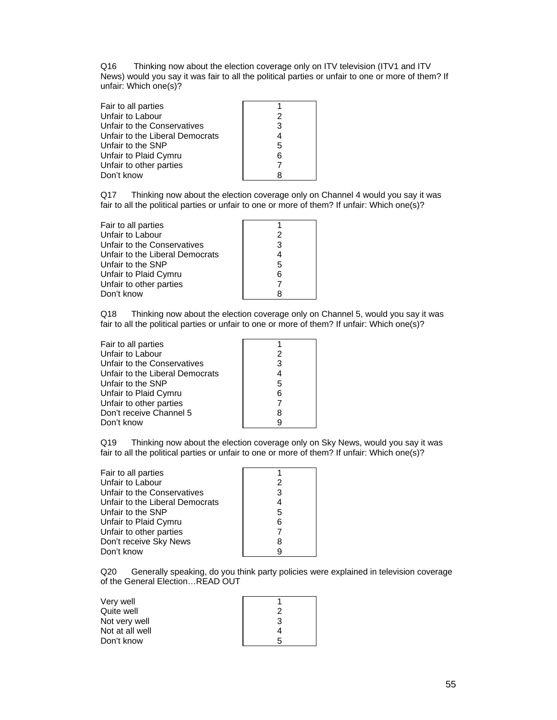Q16 Thinking now about the election coverage only on ITV television (ITV1 and ITV News) would you say it was fair to all the political parties or unfair to one or more of them? If unfair: Which one(s)?

| Fair to all parties             |   |
|---------------------------------|---|
| Unfair to Labour                | 2 |
| Unfair to the Conservatives     | 3 |
| Unfair to the Liberal Democrats | 4 |
| Unfair to the SNP               | 5 |
| Unfair to Plaid Cymru           | 6 |
| Unfair to other parties         |   |
| Don't know                      |   |

Q17 Thinking now about the election coverage only on Channel 4 would you say it was fair to all the political parties or unfair to one or more of them? If unfair: Which one(s)?

| Fair to all parties             |   |
|---------------------------------|---|
| Unfair to Labour                |   |
| Unfair to the Conservatives     | 3 |
| Unfair to the Liberal Democrats |   |
| Unfair to the SNP               | 5 |
| Unfair to Plaid Cymru           | 6 |
| Unfair to other parties         |   |
| Don't know                      |   |

Q18 Thinking now about the election coverage only on Channel 5, would you say it was fair to all the political parties or unfair to one or more of them? If unfair: Which one(s)?

| Fair to all parties             |   |
|---------------------------------|---|
| Unfair to Labour                | 2 |
| Unfair to the Conservatives     | 3 |
| Unfair to the Liberal Democrats | 4 |
| Unfair to the SNP               | 5 |
| Unfair to Plaid Cymru           | 6 |
| Unfair to other parties         |   |
| Don't receive Channel 5         | 8 |
| Don't know                      |   |

Q19 Thinking now about the election coverage only on Sky News, would you say it was fair to all the political parties or unfair to one or more of them? If unfair: Which one(s)?

| Fair to all parties             |   |
|---------------------------------|---|
| Unfair to Labour                | 2 |
| Unfair to the Conservatives     | 3 |
| Unfair to the Liberal Democrats |   |
| Unfair to the SNP               | 5 |
| Unfair to Plaid Cymru           | 6 |
| Unfair to other parties         |   |
| Don't receive Sky News          | R |
| Don't know                      |   |
|                                 |   |

Q20 Generally speaking, do you think party policies were explained in television coverage of the General Election…READ OUT

| Very well       |   |
|-----------------|---|
| Quite well      |   |
| Not very well   | 3 |
| Not at all well |   |
| Don't know      | 5 |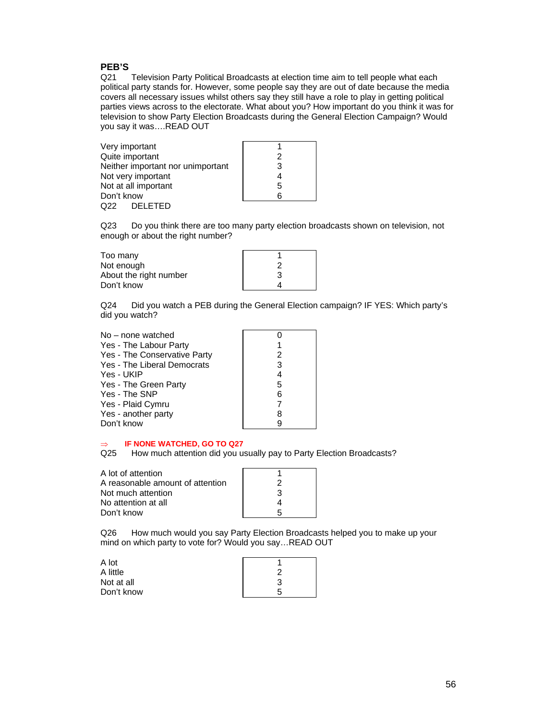### **PEB'S**

Q21 Television Party Political Broadcasts at election time aim to tell people what each political party stands for. However, some people say they are out of date because the media covers all necessary issues whilst others say they still have a role to play in getting political parties views across to the electorate. What about you? How important do you think it was for television to show Party Election Broadcasts during the General Election Campaign? Would you say it was….READ OUT

| Very important                    |   |
|-----------------------------------|---|
| Quite important                   | 2 |
| Neither important nor unimportant | З |
| Not very important                |   |
| Not at all important              | 5 |
| Don't know                        |   |
| <b>DELETED</b><br>Q22             |   |

Q23 Do you think there are too many party election broadcasts shown on television, not enough or about the right number?

| Too many               |  |
|------------------------|--|
| Not enough             |  |
| About the right number |  |
| Don't know             |  |

Q24 Did you watch a PEB during the General Election campaign? IF YES: Which party's did you watch?

| No – none watched            |   |
|------------------------------|---|
| Yes - The Labour Party       |   |
| Yes - The Conservative Party | 2 |
| Yes - The Liberal Democrats  | 3 |
| Yes - UKIP                   | 4 |
| Yes - The Green Party        | 5 |
| Yes - The SNP                | 6 |
| Yes - Plaid Cymru            |   |
| Yes - another party          | 8 |
| Don't know                   | 9 |

#### ⇒ **IF NONE WATCHED, GO TO Q27**

Q25 How much attention did you usually pay to Party Election Broadcasts?

| A lot of attention               |   |
|----------------------------------|---|
| A reasonable amount of attention |   |
| Not much attention               | 3 |
| No attention at all              |   |
| Don't know                       |   |
|                                  |   |

Q26 How much would you say Party Election Broadcasts helped you to make up your mind on which party to vote for? Would you say…READ OUT

| A lot      |   |
|------------|---|
| A little   | າ |
| Not at all | 3 |
| Don't know | 5 |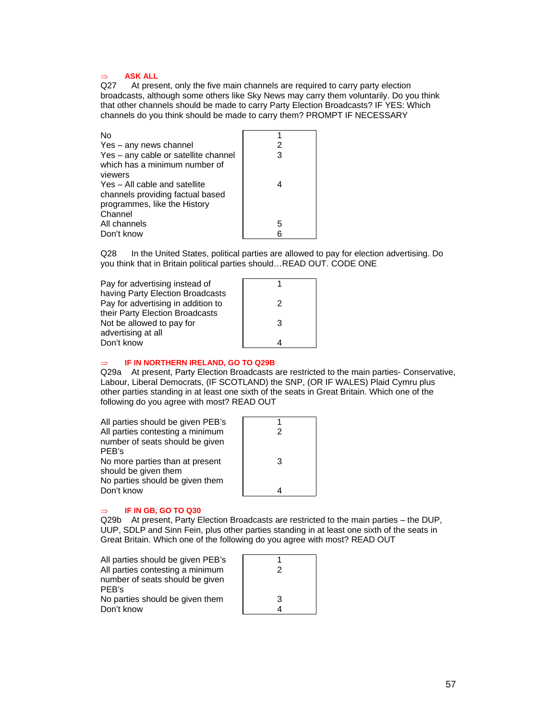# ⇒ **ASK ALL**

At present, only the five main channels are required to carry party election broadcasts, although some others like Sky News may carry them voluntarily. Do you think that other channels should be made to carry Party Election Broadcasts? IF YES: Which channels do you think should be made to carry them? PROMPT IF NECESSARY

| No                                   |   |
|--------------------------------------|---|
| Yes – any news channel               | 2 |
| Yes - any cable or satellite channel | 3 |
| which has a minimum number of        |   |
| viewers                              |   |
| Yes - All cable and satellite        |   |
| channels providing factual based     |   |
| programmes, like the History         |   |
| Channel                              |   |
| All channels                         | 5 |
| Don't know                           |   |

Q28 In the United States, political parties are allowed to pay for election advertising. Do you think that in Britain political parties should…READ OUT. CODE ONE

| Pay for advertising instead of     |   |
|------------------------------------|---|
| having Party Election Broadcasts   |   |
| Pay for advertising in addition to | 2 |
| their Party Election Broadcasts    |   |
| Not be allowed to pay for          | 3 |
| advertising at all                 |   |
| Don't know                         |   |
|                                    |   |

#### **IF IN NORTHERN IRELAND, GO TO Q29B**

Q29a At present, Party Election Broadcasts are restricted to the main parties- Conservative, Labour, Liberal Democrats, (IF SCOTLAND) the SNP, (OR IF WALES) Plaid Cymru plus other parties standing in at least one sixth of the seats in Great Britain. Which one of the following do you agree with most? READ OUT

| All parties should be given PEB's |   |
|-----------------------------------|---|
| All parties contesting a minimum  |   |
| number of seats should be given   |   |
| PEB's                             |   |
| No more parties than at present   | З |
| should be given them              |   |
| No parties should be given them   |   |
| Don't know                        |   |
|                                   |   |

#### ⇒ **IF IN GB, GO TO Q30**

Q29b At present, Party Election Broadcasts are restricted to the main parties – the DUP, UUP, SDLP and Sinn Fein, plus other parties standing in at least one sixth of the seats in Great Britain. Which one of the following do you agree with most? READ OUT

| All parties should be given PEB's |   |
|-----------------------------------|---|
| All parties contesting a minimum  |   |
| number of seats should be given   |   |
| PEB's                             |   |
| No parties should be given them   | 3 |
| Don't know                        |   |